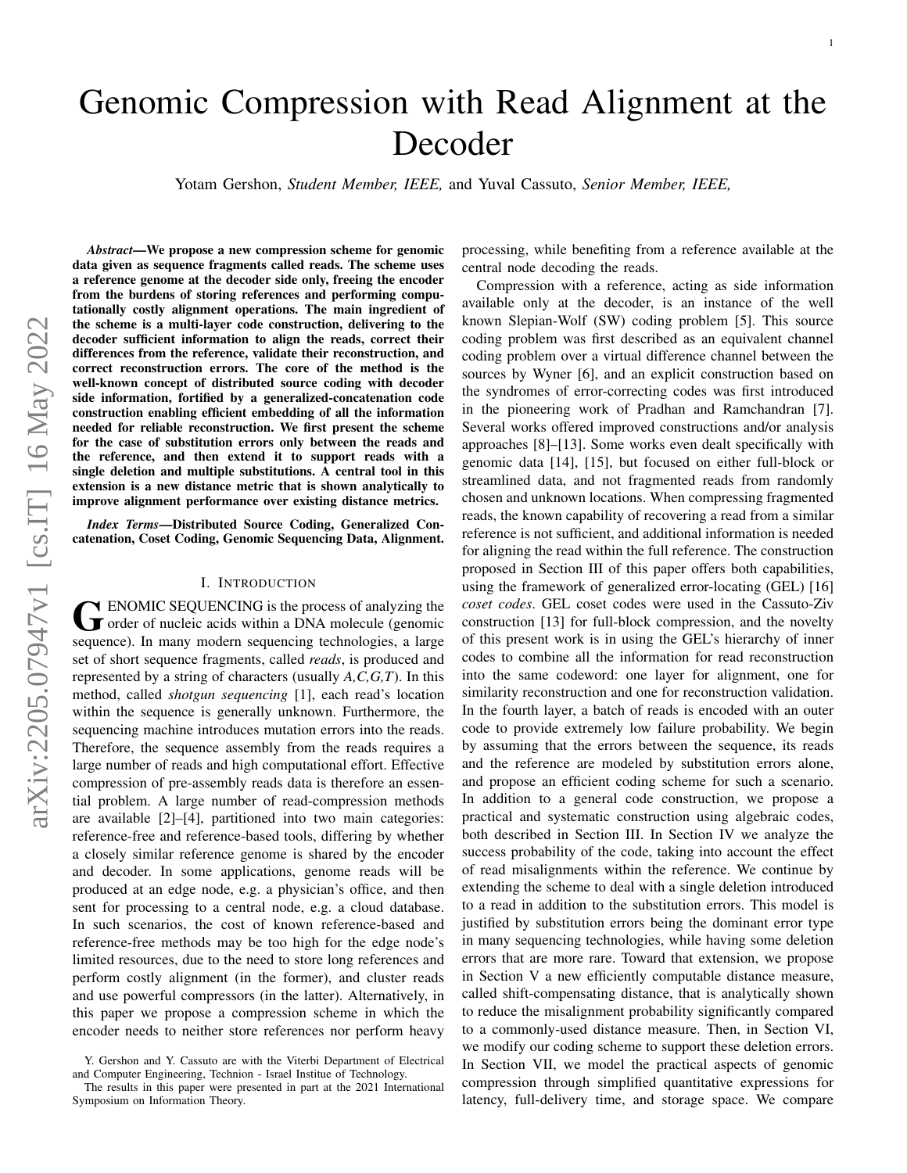# Genomic Compression with Read Alignment at the Decoder

Yotam Gershon, *Student Member, IEEE,* and Yuval Cassuto, *Senior Member, IEEE,*

*Abstract*—We propose a new compression scheme for genomic data given as sequence fragments called reads. The scheme uses a reference genome at the decoder side only, freeing the encoder from the burdens of storing references and performing computationally costly alignment operations. The main ingredient of the scheme is a multi-layer code construction, delivering to the decoder sufficient information to align the reads, correct their differences from the reference, validate their reconstruction, and correct reconstruction errors. The core of the method is the well-known concept of distributed source coding with decoder side information, fortified by a generalized-concatenation code construction enabling efficient embedding of all the information needed for reliable reconstruction. We first present the scheme for the case of substitution errors only between the reads and the reference, and then extend it to support reads with a single deletion and multiple substitutions. A central tool in this extension is a new distance metric that is shown analytically to improve alignment performance over existing distance metrics.

*Index Terms*—Distributed Source Coding, Generalized Concatenation, Coset Coding, Genomic Sequencing Data, Alignment.

# I. INTRODUCTION

GENOMIC SEQUENCING is the process of analyzing the<br>
order of nucleic acids within a DNA molecule (genomic **T** ENOMIC SEQUENCING is the process of analyzing the sequence). In many modern sequencing technologies, a large set of short sequence fragments, called *reads*, is produced and represented by a string of characters (usually *A,C,G,T*). In this method, called *shotgun sequencing* [1], each read's location within the sequence is generally unknown. Furthermore, the sequencing machine introduces mutation errors into the reads. Therefore, the sequence assembly from the reads requires a large number of reads and high computational effort. Effective compression of pre-assembly reads data is therefore an essential problem. A large number of read-compression methods are available [2]–[4], partitioned into two main categories: reference-free and reference-based tools, differing by whether a closely similar reference genome is shared by the encoder and decoder. In some applications, genome reads will be produced at an edge node, e.g. a physician's office, and then sent for processing to a central node, e.g. a cloud database. In such scenarios, the cost of known reference-based and reference-free methods may be too high for the edge node's limited resources, due to the need to store long references and perform costly alignment (in the former), and cluster reads and use powerful compressors (in the latter). Alternatively, in this paper we propose a compression scheme in which the encoder needs to neither store references nor perform heavy processing, while benefiting from a reference available at the central node decoding the reads.

Compression with a reference, acting as side information available only at the decoder, is an instance of the well known Slepian-Wolf (SW) coding problem [5]. This source coding problem was first described as an equivalent channel coding problem over a virtual difference channel between the sources by Wyner [6], and an explicit construction based on the syndromes of error-correcting codes was first introduced in the pioneering work of Pradhan and Ramchandran [7]. Several works offered improved constructions and/or analysis approaches [8]–[13]. Some works even dealt specifically with genomic data [14], [15], but focused on either full-block or streamlined data, and not fragmented reads from randomly chosen and unknown locations. When compressing fragmented reads, the known capability of recovering a read from a similar reference is not sufficient, and additional information is needed for aligning the read within the full reference. The construction proposed in Section III of this paper offers both capabilities, using the framework of generalized error-locating (GEL) [16] *coset codes*. GEL coset codes were used in the Cassuto-Ziv construction [13] for full-block compression, and the novelty of this present work is in using the GEL's hierarchy of inner codes to combine all the information for read reconstruction into the same codeword: one layer for alignment, one for similarity reconstruction and one for reconstruction validation. In the fourth layer, a batch of reads is encoded with an outer code to provide extremely low failure probability. We begin by assuming that the errors between the sequence, its reads and the reference are modeled by substitution errors alone, and propose an efficient coding scheme for such a scenario. In addition to a general code construction, we propose a practical and systematic construction using algebraic codes, both described in Section III. In Section IV we analyze the success probability of the code, taking into account the effect of read misalignments within the reference. We continue by extending the scheme to deal with a single deletion introduced to a read in addition to the substitution errors. This model is justified by substitution errors being the dominant error type in many sequencing technologies, while having some deletion errors that are more rare. Toward that extension, we propose in Section V a new efficiently computable distance measure, called shift-compensating distance, that is analytically shown to reduce the misalignment probability significantly compared to a commonly-used distance measure. Then, in Section VI, we modify our coding scheme to support these deletion errors. In Section VII, we model the practical aspects of genomic compression through simplified quantitative expressions for latency, full-delivery time, and storage space. We compare

Y. Gershon and Y. Cassuto are with the Viterbi Department of Electrical and Computer Engineering, Technion - Israel Institue of Technology.

The results in this paper were presented in part at the 2021 International Symposium on Information Theory.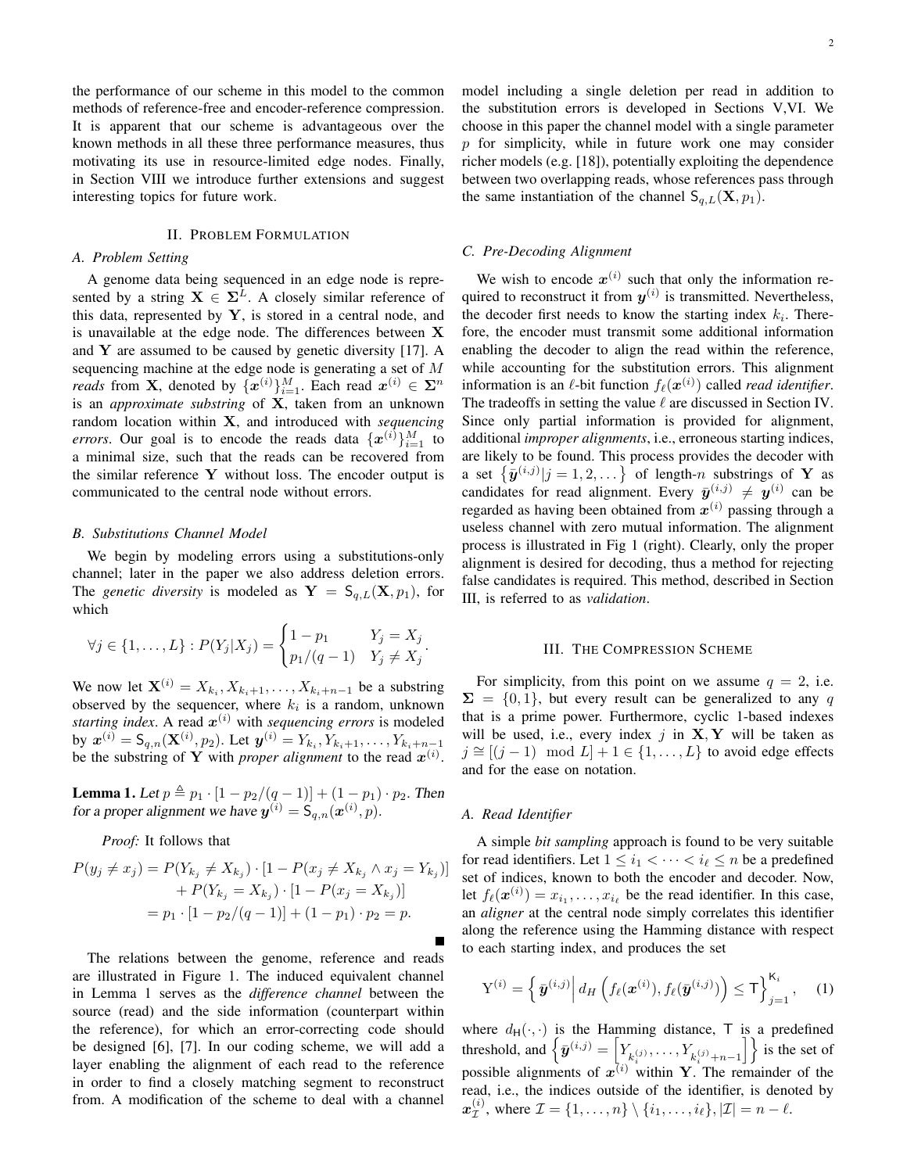the performance of our scheme in this model to the common methods of reference-free and encoder-reference compression. It is apparent that our scheme is advantageous over the known methods in all these three performance measures, thus motivating its use in resource-limited edge nodes. Finally, in Section VIII we introduce further extensions and suggest interesting topics for future work.

# II. PROBLEM FORMULATION

#### *A. Problem Setting*

A genome data being sequenced in an edge node is represented by a string  $X \in \Sigma^L$ . A closely similar reference of this data, represented by  $Y$ , is stored in a central node, and is unavailable at the edge node. The differences between X and  $Y$  are assumed to be caused by genetic diversity [17]. A sequencing machine at the edge node is generating a set of M *reads* from **X**, denoted by  $\{\boldsymbol{x}^{(i)}\}_{i=1}^M$ . Each read  $\boldsymbol{x}^{(i)} \in \boldsymbol{\Sigma}^n$ is an *approximate substring* of X, taken from an unknown random location within X, and introduced with *sequencing errors*. Our goal is to encode the reads data  $\{x^{(i)}\}_{i=1}^M$  to a minimal size, such that the reads can be recovered from the similar reference  $Y$  without loss. The encoder output is communicated to the central node without errors.

## *B. Substitutions Channel Model*

We begin by modeling errors using a substitutions-only channel; later in the paper we also address deletion errors. The *genetic diversity* is modeled as  $Y = S_{q,L}(X, p_1)$ , for which

$$
\forall j \in \{1, ..., L\} : P(Y_j | X_j) = \begin{cases} 1 - p_1 & Y_j = X_j \\ p_1/(q-1) & Y_j \neq X_j \end{cases}.
$$

We now let  $\mathbf{X}^{(i)} = X_{k_i}, X_{k_i+1}, \dots, X_{k_i+n-1}$  be a substring observed by the sequencer, where  $k_i$  is a random, unknown starting index. A read  $x^{(i)}$  with *sequencing errors* is modeled by  $\mathbf{x}^{(i)} = \mathsf{S}_{q,n}(\mathbf{X}^{(i)}, p_2)$ . Let  $\mathbf{y}^{(i)} = Y_{k_i}, Y_{k_i+1}, \dots, Y_{k_i+n-1}$ be the substring of Y with *proper alignment* to the read  $x^{(i)}$ .

**Lemma 1.** Let  $p \triangleq p_1 \cdot [1 - p_2/(q-1)] + (1 - p_1) \cdot p_2$ . Then for a proper alignment we have  $y^{(i)} = S_{q,n}(x^{(i)}, p)$ .

*Proof:* It follows that

$$
P(y_j \neq x_j) = P(Y_{k_j} \neq X_{k_j}) \cdot [1 - P(x_j \neq X_{k_j} \land x_j = Y_{k_j})]
$$
  
+ 
$$
P(Y_{k_j} = X_{k_j}) \cdot [1 - P(x_j = X_{k_j})]
$$
  
= 
$$
p_1 \cdot [1 - p_2/(q - 1)] + (1 - p_1) \cdot p_2 = p.
$$

The relations between the genome, reference and reads are illustrated in Figure 1. The induced equivalent channel in Lemma 1 serves as the *difference channel* between the source (read) and the side information (counterpart within the reference), for which an error-correcting code should be designed [6], [7]. In our coding scheme, we will add a layer enabling the alignment of each read to the reference in order to find a closely matching segment to reconstruct from. A modification of the scheme to deal with a channel 2

model including a single deletion per read in addition to the substitution errors is developed in Sections V,VI. We choose in this paper the channel model with a single parameter  $p$  for simplicity, while in future work one may consider richer models (e.g. [18]), potentially exploiting the dependence between two overlapping reads, whose references pass through the same instantiation of the channel  $S_{q,L}(X, p_1)$ .

# *C. Pre-Decoding Alignment*

We wish to encode  $x^{(i)}$  such that only the information required to reconstruct it from  $y^{(i)}$  is transmitted. Nevertheless, the decoder first needs to know the starting index  $k_i$ . Therefore, the encoder must transmit some additional information enabling the decoder to align the read within the reference, while accounting for the substitution errors. This alignment information is an  $\ell$ -bit function  $f_{\ell}(\boldsymbol{x}^{(i)})$  called *read identifier*. The tradeoffs in setting the value  $\ell$  are discussed in Section IV. Since only partial information is provided for alignment, additional *improper alignments*, i.e., erroneous starting indices, are likely to be found. This process provides the decoder with a set  $\{\bar{\mathbf{y}}^{(i,j)}|j=1,2,\dots\}$  of length-n substrings of Y as candidates for read alignment. Every  $\bar{y}^{(i,j)} \neq y^{(i)}$  can be regarded as having been obtained from  $x^{(i)}$  passing through a useless channel with zero mutual information. The alignment process is illustrated in Fig 1 (right). Clearly, only the proper alignment is desired for decoding, thus a method for rejecting false candidates is required. This method, described in Section III, is referred to as *validation*.

## III. THE COMPRESSION SCHEME

For simplicity, from this point on we assume  $q = 2$ , i.e.  $\Sigma = \{0, 1\}$ , but every result can be generalized to any q that is a prime power. Furthermore, cyclic 1-based indexes will be used, i.e., every index  $j$  in  $X, Y$  will be taken as  $j \approx [(j-1) \mod L] + 1 \in \{1, \ldots, L\}$  to avoid edge effects and for the ease on notation.

# *A. Read Identifier*

A simple *bit sampling* approach is found to be very suitable for read identifiers. Let  $1 \leq i_1 < \cdots < i_\ell \leq n$  be a predefined set of indices, known to both the encoder and decoder. Now, let  $f_{\ell}(\boldsymbol{x}^{(i)}) = x_{i_1}, \dots, x_{i_{\ell}}$  be the read identifier. In this case, an *aligner* at the central node simply correlates this identifier along the reference using the Hamming distance with respect to each starting index, and produces the set

$$
\mathbf{Y}^{(i)} = \left\{ \left. \bar{\boldsymbol{y}}^{(i,j)} \right| d_H \left( f_\ell(\boldsymbol{x}^{(i)}), f_\ell(\bar{\boldsymbol{y}}^{(i,j)}) \right) \leq \mathsf{T} \right\}_{j=1}^{\mathsf{K}_i}, \quad (1)
$$

where  $d_H(\cdot, \cdot)$  is the Hamming distance, T is a predefined threshold, and  $\left\{\bar{\bm{y}}^{(i,j)} = \left[Y_{k_i^{(j)}}, \ldots, Y_{k_i^{(j)}+n-1}\right]\right\}$  is the set of possible alignments of  $x^{(i)}$  within Y. The remainder of the read, i.e., the indices outside of the identifier, is denoted by  $x^{(i)}_{\tau}$  $\mathcal{I}^{(i)}$ , where  $\mathcal{I} = \{1, \ldots, n\} \setminus \{i_1, \ldots, i_\ell\}, |\mathcal{I}| = n - \ell.$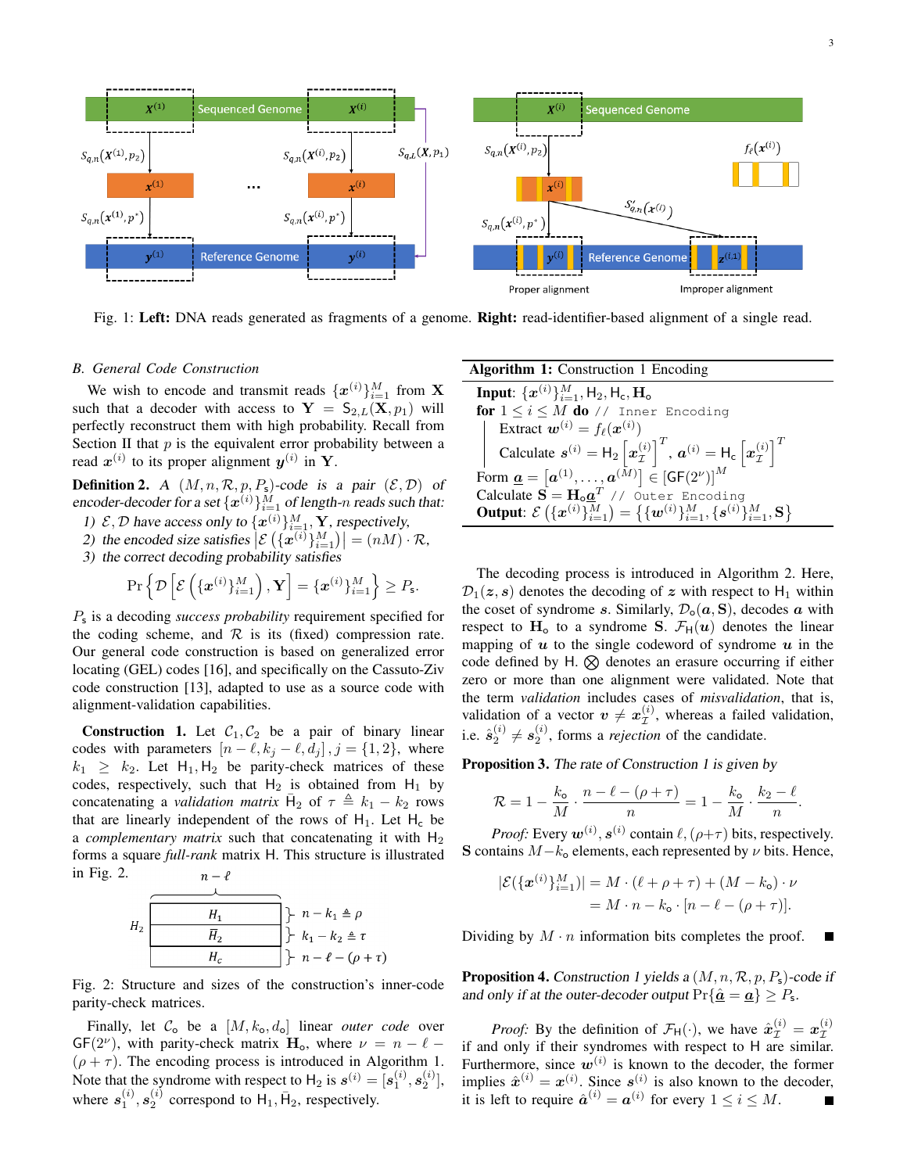3



Fig. 1: Left: DNA reads generated as fragments of a genome. Right: read-identifier-based alignment of a single read.

# *B. General Code Construction*

We wish to encode and transmit reads  $\{x^{(i)}\}_{i=1}^M$  from **X** such that a decoder with access to  $Y = S_{2,L}(X, p_1)$  will perfectly reconstruct them with high probability. Recall from Section II that  $p$  is the equivalent error probability between a read  $x^{(i)}$  to its proper alignment  $y^{(i)}$  in Y.

**Definition 2.** A  $(M, n, \mathcal{R}, p, P_s)$ -code is a pair  $(\mathcal{E}, \mathcal{D})$  of encoder-decoder for a set  $\{x^{(i)}\}_{i=1}^M$  of length-n reads such that:

1)  $\mathcal{E}, \mathcal{D}$  have access only to  $\{\boldsymbol{x}^{(i)}\}_{i=1}^M$ , **Y**, respectively,

2) the encoded size satisfies 
$$
|\mathcal{E}(\{\mathbf{x}^{(i)}\}_{i=1}^M)| = (nM) \cdot \mathcal{R}
$$
,

3) the correct decoding probability satisfies

$$
\Pr\left\{\mathcal{D}\left[\mathcal{E}\left(\{\boldsymbol{x}^{(i)}\}_{i=1}^M\right),\mathbf{Y}\right]=\{\boldsymbol{x}^{(i)}\}_{i=1}^M\right\}\geq P_{\mathsf{s}}.
$$

Ps is a decoding *success probability* requirement specified for the coding scheme, and  $R$  is its (fixed) compression rate. Our general code construction is based on generalized error locating (GEL) codes [16], and specifically on the Cassuto-Ziv code construction [13], adapted to use as a source code with alignment-validation capabilities.

**Construction 1.** Let  $C_1, C_2$  be a pair of binary linear codes with parameters  $[n - \ell, k_j - \ell, d_j]$ ,  $j = \{1, 2\}$ , where  $k_1 \geq k_2$ . Let H<sub>1</sub>, H<sub>2</sub> be parity-check matrices of these codes, respectively, such that  $H_2$  is obtained from  $H_1$  by concatenating a *validation matrix*  $\bar{H}_2$  of  $\tau \triangleq k_1 - k_2$  rows that are linearly independent of the rows of  $H_1$ . Let  $H_c$  be a *complementary matrix* such that concatenating it with  $H_2$ forms a square *full-rank* matrix H. This structure is illustrated in Fig. 2.  $n-\ell$ 



Fig. 2: Structure and sizes of the construction's inner-code parity-check matrices.

Finally, let  $C_0$  be a  $[M, k_0, d_0]$  linear *outer code* over GF( $2^{\nu}$ ), with parity-check matrix  $H_o$ , where  $\nu = n - \ell (\rho + \tau)$ . The encoding process is introduced in Algorithm 1. Note that the syndrome with respect to  $H_2$  is  $s^{(i)} = [s_1^{(i)}, s_2^{(i)}]$ , where  $s_1^{(i)}$ ,  $s_2^{(i)}$  correspond to  $H_1$ ,  $\bar{H}_2$ , respectively.

| <b>Algorithm 1:</b> Construction 1 Encoding                                                                                                                                                                                      |  |  |  |  |  |  |  |
|----------------------------------------------------------------------------------------------------------------------------------------------------------------------------------------------------------------------------------|--|--|--|--|--|--|--|
| <b>Input:</b> $\{x^{(i)}\}_{i=1}^M$ , H <sub>2</sub> , H <sub>c</sub> , <b>H</b> <sub>0</sub>                                                                                                                                    |  |  |  |  |  |  |  |
| for $1 \leq i \leq M$ do // Inner Encoding                                                                                                                                                                                       |  |  |  |  |  |  |  |
|                                                                                                                                                                                                                                  |  |  |  |  |  |  |  |
| Extract $\mathbf{w}^{(i)} = f_{\ell}(\mathbf{x}^{(i)})$<br>Calculate $\mathbf{s}^{(i)} = \mathsf{H}_2\left[\mathbf{x}_\mathcal{I}^{(i)}\right]^T$ , $\mathbf{a}^{(i)} = \mathsf{H}_c\left[\mathbf{x}_\mathcal{I}^{(i)}\right]^T$ |  |  |  |  |  |  |  |
| Form $\underline{\mathbf{a}} = [\mathbf{a}^{(1)}, \dots, \mathbf{a}^{(\bar{M})}] \in [\mathsf{GF}(2^\nu)]^M$                                                                                                                     |  |  |  |  |  |  |  |
| Calculate $S = H_0 a^T$ // Outer Encoding                                                                                                                                                                                        |  |  |  |  |  |  |  |
| <b>Output:</b> $\mathcal{E}\left(\{\mathbf{x}^{(i)}\}_{i=1}^M\right) = \left\{\{\mathbf{w}^{(i)}\}_{i=1}^M, \{\mathbf{s}^{(i)}\}_{i=1}^M, \mathbf{S}\right\}$                                                                    |  |  |  |  |  |  |  |

The decoding process is introduced in Algorithm 2. Here,  $\mathcal{D}_1(z, s)$  denotes the decoding of z with respect to H<sub>1</sub> within the coset of syndrome s. Similarly,  $\mathcal{D}_{o}(\boldsymbol{a}, \mathbf{S})$ , decodes a with respect to  $H_0$  to a syndrome S.  $\mathcal{F}_H(u)$  denotes the linear mapping of  $u$  to the single codeword of syndrome  $u$  in the code defined by H.  $\otimes$  denotes an erasure occurring if either zero or more than one alignment were validated. Note that the term *validation* includes cases of *misvalidation*, that is, validation of a vector  $v \neq x_{\mathcal{I}}^{(i)}$  $\mathcal{I}^{(i)}$ , whereas a failed validation, i.e.  $\hat{s}_2^{(i)} \neq s_2^{(i)}$ , forms a *rejection* of the candidate.

Proposition 3. The rate of Construction 1 is given by

$$
\mathcal{R} = 1 - \frac{k_{\mathbf{o}}}{M} \cdot \frac{n - \ell - (\rho + \tau)}{n} = 1 - \frac{k_{\mathbf{o}}}{M} \cdot \frac{k_2 - \ell}{n}.
$$

*Proof:* Every  $w^{(i)}$ ,  $s^{(i)}$  contain  $\ell$ ,  $(\rho+\tau)$  bits, respectively. S contains  $M-k_0$  elements, each represented by  $\nu$  bits. Hence,

$$
|\mathcal{E}(\{\boldsymbol{x}^{(i)}\}_{i=1}^M)| = M \cdot (\ell + \rho + \tau) + (M - k_o) \cdot \nu
$$
  
=  $M \cdot n - k_o \cdot [n - \ell - (\rho + \tau)].$ 

Dividing by  $M \cdot n$  information bits completes the proof. г

**Proposition 4.** Construction 1 yields a  $(M, n, \mathcal{R}, p, P_s)$ -code if and only if at the outer-decoder output  $Pr{\{\hat{\underline{\bm{a}}} = \underline{\bm{a}}\}} \geq P_{\mathsf{s}}$ .

*Proof:* By the definition of  $\mathcal{F}_{H}(\cdot)$ , we have  $\hat{x}_{\mathcal{I}}^{(i)} = x_{\mathcal{I}}^{(i)}$ I if and only if their syndromes with respect to H are similar. Furthermore, since  $w^{(i)}$  is known to the decoder, the former implies  $\hat{x}^{(i)} = x^{(i)}$ . Since  $s^{(i)}$  is also known to the decoder, it is left to require  $\hat{a}^{(i)} = a^{(i)}$  for every  $1 \le i \le M$ .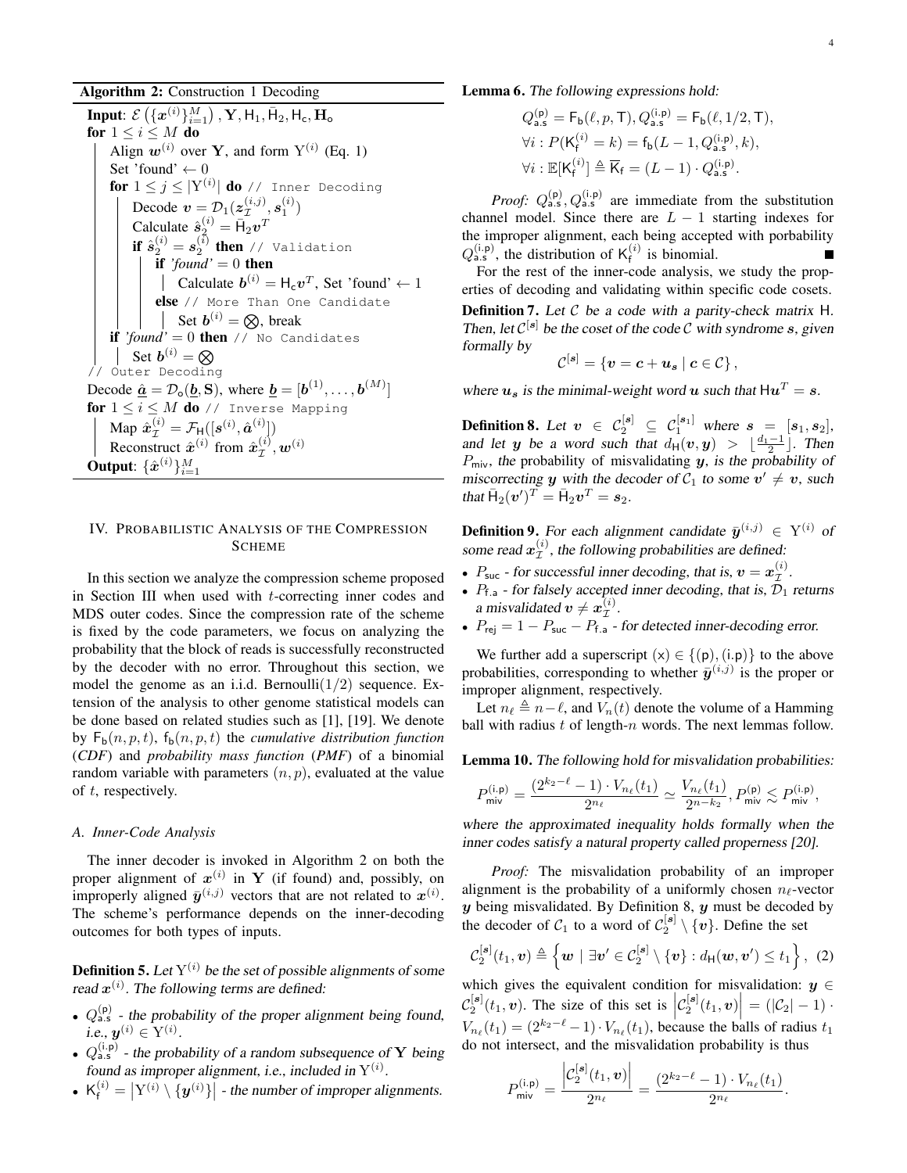Algorithm 2: Construction 1 Decoding

Input:  $\mathcal{E}\left(\{\bm{x}^{(i)}\}_{i=1}^M\right)$  ,  $\mathbf{Y}, \mathsf{H}_1, \bar{\mathsf{H}}_2, \mathsf{H}_{\mathsf{c}}, \mathbf{H}_{\mathsf{o}}$ for  $1 \leq i \leq M$  do Align  $w^{(i)}$  over Y, and form  $Y^{(i)}$  (Eq. 1) Set 'found'  $\leftarrow 0$  $\mathbf{for}\;1\leq j\leq|\mathrm{Y}^{(i)}|$   $\mathbf{do}\;$  // Inner Decoding Decode  $\mathbf{v} = \mathcal{D}_1(\boldsymbol{z}_{\mathcal{I}}^{(i,j)})$  $_{\mathcal{I}}^{(i,j)},s_1^{(i)})$ Calculate  $\hat{s}_2^{(i)} = \bar{H}_2 v^T$  $\textbf{if} \ \hat{s}^{(i)}_2 = s^{(\bar{i})}_2 \ \textbf{then} \ \texttt{// Validation}$ if  $'$ *found*' = 0 then Calculate  $\mathbf{b}^{(i)} = \mathsf{H}_{c} \mathbf{v}^{T}$ , Set 'found'  $\leftarrow 1$ else // More Than One Candidate Set  $b^{(i)} = \otimes$ , break if *'found'* = 0 then // No Candidates Set  $\boldsymbol{b}^{(i)}=\boldsymbol{\otimes}$ // Outer Decoding Decode  $\underline{\hat{a}} = \mathcal{D}_{\mathbf{o}}(\underline{b}, \mathbf{S}),$  where  $\underline{b} = [\underline{b}^{(1)}, \dots, \underline{b}^{(M)}]$ for  $1 \leq i \leq M$  do // Inverse Mapping Map  $\hat{\boldsymbol{x}}_{\mathcal{I}}^{(i)} = \mathcal{F}_{\text{H}}([\boldsymbol{s}^{(i)}, \hat{\boldsymbol{a}}^{(i)}])$ Reconstruct  $\hat{x}^{(i)}$  from  $\hat{x}^{(i)}_{\tau}$  $\overset{(i)}{\mathcal{I}}, \bm{w}^{(i)}$ Output:  $\{\hat{\bm{x}}^{(i)}\}_{i=1}^M$ 

# IV. PROBABILISTIC ANALYSIS OF THE COMPRESSION SCHEME

In this section we analyze the compression scheme proposed in Section III when used with t-correcting inner codes and MDS outer codes. Since the compression rate of the scheme is fixed by the code parameters, we focus on analyzing the probability that the block of reads is successfully reconstructed by the decoder with no error. Throughout this section, we model the genome as an i.i.d. Bernoulli $(1/2)$  sequence. Extension of the analysis to other genome statistical models can be done based on related studies such as [1], [19]. We denote by  $F_b(n, p, t)$ ,  $f_b(n, p, t)$  the *cumulative distribution function* (*CDF*) and *probability mass function* (*PMF*) of a binomial random variable with parameters  $(n, p)$ , evaluated at the value of t, respectively.

# *A. Inner-Code Analysis*

The inner decoder is invoked in Algorithm 2 on both the proper alignment of  $x^{(i)}$  in Y (if found) and, possibly, on improperly aligned  $\bar{y}^{(i,j)}$  vectors that are not related to  $x^{(i)}$ . The scheme's performance depends on the inner-decoding outcomes for both types of inputs.

**Definition 5.** Let  $Y^{(i)}$  be the set of possible alignments of some read  $x^{(i)}$ . The following terms are defined:

- $Q_{\text{a.s}}^{(p)}$  the probability of the proper alignment being found, i.e.,  $\bm{y}^{(i)} \in \mathrm{Y}^{(i)}.$
- $Q_{\text{a.s}}^{(i,p)}$  the probability of a random subsequence of Y being found as improper alignment, i.e., included in  $Y^{(i)}$ .
- $K_f^{(i)} = |Y^{(i)} \setminus \{y^{(i)}\}|$  the number of improper alignments.

# Lemma 6. The following expressions hold:

$$
\begin{aligned} Q_\text{a.s}^{(\mathsf{p})} &= \mathsf{F}_{\mathsf{b}}(\ell, p, \mathsf{T}), Q_\text{a.s}^{(\mathsf{i}, \mathsf{p})} = \mathsf{F}_{\mathsf{b}}(\ell, 1/2, \mathsf{T}), \\ \forall i: P(\mathsf{K}_{\mathsf{f}}^{(i)} = k) &= \mathsf{f}_{\mathsf{b}}(L-1, Q_\text{a.s}^{(\mathsf{i}, \mathsf{p})}, k), \\ \forall i: \mathbb{E}[\mathsf{K}_{\mathsf{f}}^{(i)}] &\triangleq \overline{\mathsf{K}}_{\mathsf{f}} = (L-1) \cdot Q_\text{a.s}^{(\mathsf{i}, \mathsf{p})}. \end{aligned}
$$

*Proof:*  $Q_{a.s}^{(p)}$ ,  $Q_{a.s}^{(i.p)}$  are immediate from the substitution channel model. Since there are  $L - 1$  starting indexes for the improper alignment, each being accepted with porbability  $Q_{\text{a.s}}^{(i,p)}$ , the distribution of  $K_f^{(i)}$  $\int_{f}^{(t)}$  is binomial.

For the rest of the inner-code analysis, we study the properties of decoding and validating within specific code cosets. **Definition 7.** Let  $C$  be a code with a parity-check matrix H. Then, let  $\mathcal{C}^{[s]}$  be the coset of the code  $\mathcal C$  with syndrome s, given formally by

$$
\mathcal{C}^{[\bm{s}]}=\{\bm{v}=\bm{c}+\bm{u}_{\bm{s}}\mid \bm{c}\in \mathcal{C}\}\,,
$$

where  $u_s$  is the minimal-weight word u such that  $\mathbf{H} \mathbf{u}^T = \mathbf{s}$ .

**Definition 8.** Let  $v \in C_2^{[s]} \subseteq C_1^{[s_1]}$  where  $s = [s_1, s_2]$ , and let y be a word such that  $d_H(v, y) > \lfloor \frac{d_1 - 1}{2} \rfloor$ . Then  $P_{\text{mix}}$ , the probability of misvalidating y, is the probability of miscorrecting y with the decoder of  $C_1$  to some  $v' \neq v$ , such that  $\bar{H}_2(\boldsymbol{v}')^T = \bar{H}_2 \boldsymbol{v}^T = \boldsymbol{s}_2.$ 

**Definition 9.** For each alignment candidate  $\bar{y}^{(i,j)} \in Y^{(i)}$  of some read  $x_{\tau}^{(i)}$  $\mathcal{I}^{(i)}$ , the following probabilities are defined:

- $P_{\text{suc}}$  for successful inner decoding, that is,  $v = x_{\mathcal{I}}^{(i)}$  $\overset{(i)}{\mathcal{I}}$  .
- $P_{f,a}$  for falsely accepted inner decoding, that is,  $\mathcal{D}_1$  returns a misvalidated  $\bm{v}\neq \bm{x}_{\mathcal{T}}^{(i)}$  $\overset{\scriptscriptstyle(i)}{\scriptscriptstyle\mathcal{I}}$  .
- $P_{\text{rej}} = 1 P_{\text{succ}} P_{\text{f.a}}$  for detected inner-decoding error.

We further add a superscript  $(x) \in \{(p), (i,p)\}\)$  to the above probabilities, corresponding to whether  $\bar{y}^{(i,j)}$  is the proper or improper alignment, respectively.

Let  $n_\ell$   $\triangleq$   $n-\ell$ , and  $V_n(t)$  denote the volume of a Hamming ball with radius  $t$  of length- $n$  words. The next lemmas follow.

Lemma 10. The following hold for misvalidation probabilities:

$$
P_{\text{mix}}^{(i,p)} = \frac{(2^{k_2 - \ell} - 1) \cdot V_{n_\ell}(t_1)}{2^{n_\ell}} \simeq \frac{V_{n_\ell}(t_1)}{2^{n - k_2}}, P_{\text{mix}}^{(p)} \lesssim P_{\text{mix}}^{(i,p)},
$$

where the approximated inequality holds formally when the inner codes satisfy a natural property called properness [20].

*Proof:* The misvalidation probability of an improper alignment is the probability of a uniformly chosen  $n_{\ell}$ -vector  $y$  being misvalidated. By Definition 8,  $y$  must be decoded by the decoder of  $C_1$  to a word of  $C_2^{[s]} \setminus \{v\}$ . Define the set

$$
\mathcal{C}_2^{[\mathbf{s}]}(t_1,\mathbf{v}) \triangleq \left\{ \mathbf{w} \mid \exists \mathbf{v}' \in \mathcal{C}_2^{[\mathbf{s}]} \setminus \{\mathbf{v}\} : d_{\mathsf{H}}(\mathbf{w},\mathbf{v}') \leq t_1 \right\}, (2)
$$

which gives the equivalent condition for misvalidation:  $y \in$  $\mathcal{C}_2^{[\mathbf{s}]}(t_1, v)$ . The size of this set is  $\left| \mathcal{C}_2^{[\mathbf{s}]}(t_1, v) \right| = (\left| \mathcal{C}_2 \right| - 1)$ .  $V_{n_{\ell}}(t_1) = (2^{k_2-\ell}-1) \cdot V_{n_{\ell}}(t_1)$ , because the balls of radius  $t_1$ do not intersect, and the misvalidation probability is thus

$$
P_{\mathsf{mix}}^{(\mathsf{i},\mathsf{p})} = \frac{\left| \mathcal{C}_2^{[\mathsf{s}]}(t_1,\bm{v}) \right|}{2^{n_\ell}} = \frac{(2^{k_2-\ell}-1)\cdot V_{n_\ell}(t_1)}{2^{n_\ell}}
$$

.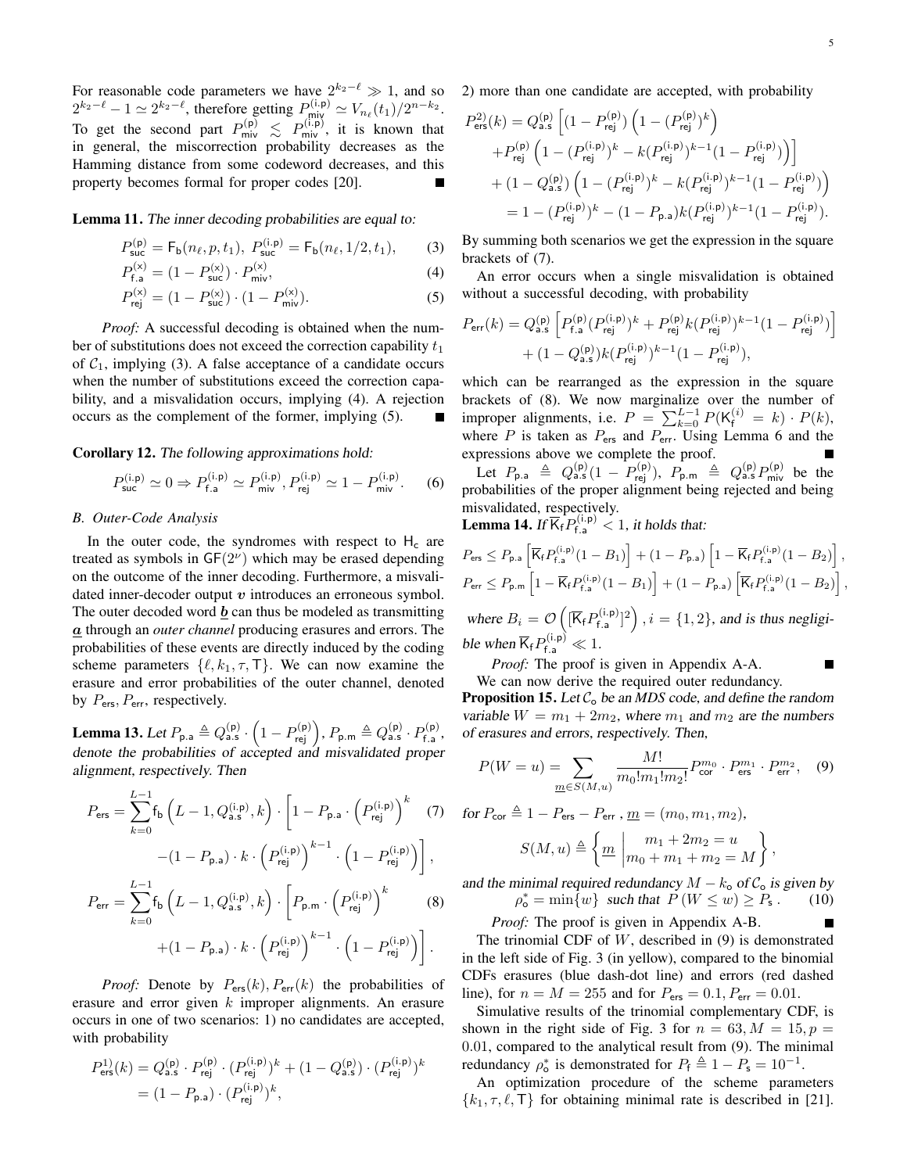For reasonable code parameters we have  $2^{k_2-\ell} \gg 1$ , and so  $2^{k_2-\ell} - 1 \simeq 2^{k_2-\ell}$ , therefore getting  $P_{\text{miy}}^{(i,p)} \simeq V_{n_\ell}(t_1)/2^{n-k_2}$ . To get the second part  $P_{\text{mix}}^{(p)} \le P_{\text{mix}}^{(i,p)}$ , it is known that in general, the miscorrection probability decreases as the Hamming distance from some codeword decreases, and this property becomes formal for proper codes [20].

Lemma 11. The inner decoding probabilities are equal to:

$$
P_{\text{succ}}^{(p)} = F_{\text{b}}(n_{\ell}, p, t_1), \ P_{\text{succ}}^{(i.p)} = F_{\text{b}}(n_{\ell}, 1/2, t_1), \tag{3}
$$

$$
P_{\text{f.a}}^{(\text{x})} = (1 - P_{\text{succ}}^{(\text{x})}) \cdot P_{\text{miv}}^{(\text{x})},\tag{4}
$$

$$
P_{\text{rej}}^{(\text{x})} = (1 - P_{\text{succ}}^{(\text{x})}) \cdot (1 - P_{\text{mix}}^{(\text{x})}).
$$
\n(5)

*Proof:* A successful decoding is obtained when the number of substitutions does not exceed the correction capability  $t_1$ of  $C_1$ , implying (3). A false acceptance of a candidate occurs when the number of substitutions exceed the correction capability, and a misvalidation occurs, implying (4). A rejection occurs as the complement of the former, implying (5).

# Corollary 12. The following approximations hold:

$$
P_{\text{succ}}^{(i,p)} \simeq 0 \Rightarrow P_{f,a}^{(i,p)} \simeq P_{\text{miv}}^{(i,p)}, P_{\text{rej}}^{(i,p)} \simeq 1 - P_{\text{miv}}^{(i,p)}.\tag{6}
$$

## *B. Outer-Code Analysis*

In the outer code, the syndromes with respect to  $H_c$  are treated as symbols in  $GF(2^{\nu})$  which may be erased depending on the outcome of the inner decoding. Furthermore, a misvalidated inner-decoder output  $v$  introduces an erroneous symbol. The outer decoded word  $\boldsymbol{b}$  can thus be modeled as transmitting a through an *outer channel* producing erasures and errors. The probabilities of these events are directly induced by the coding scheme parameters  $\{\ell, k_1, \tau, \tau\}$ . We can now examine the erasure and error probabilities of the outer channel, denoted by  $P_{\text{ers}}$ ,  $P_{\text{err}}$ , respectively.

**Lemma 13.** Let  $P_{\mathsf{p}.\mathsf{a}} \triangleq Q_{\mathsf{a.s}}^{(\mathsf{p})} \cdot \left(1 - P_{\mathsf{rej}}^{(\mathsf{p})}\right), P_{\mathsf{p}.\mathsf{m}} \triangleq Q_{\mathsf{a.s}}^{(\mathsf{p})} \cdot P_{\mathsf{f}.\mathsf{a}}^{(\mathsf{p})}$ <sub>)</sub>(P*)*<br>f.a, denote the probabilities of accepted and misvalidated proper alignment, respectively. Then

$$
P_{\text{ers}} = \sum_{k=0}^{L-1} f_{\text{b}} \left( L - 1, Q_{\text{a.s}}^{(i, \text{p})}, k \right) \cdot \left[ 1 - P_{\text{p.a}} \cdot \left( P_{\text{rej}}^{(i, \text{p})} \right)^k \right] (7)
$$

$$
- (1 - P_{\text{p.a}}) \cdot k \cdot \left( P_{\text{rej}}^{(i, \text{p})} \right)^{k-1} \cdot \left( 1 - P_{\text{rej}}^{(i, \text{p})} \right) \right],
$$

$$
P_{\text{err}} = \sum_{k=0}^{L-1} f_{\text{b}} \left( L - 1, Q_{\text{a.s}}^{(i, \text{p})}, k \right) \cdot \left[ P_{\text{p.m}} \cdot \left( P_{\text{rej}}^{(i, \text{p})} \right)^k \right] (8)
$$

$$
+ (1 - P_{\text{p.a}}) \cdot k \cdot \left( P_{\text{rej}}^{(i, \text{p})} \right)^{k-1} \cdot \left( 1 - P_{\text{rej}}^{(i, \text{p})} \right) \right].
$$

*Proof:* Denote by  $P_{\text{ers}}(k)$ ,  $P_{\text{err}}(k)$  the probabilities of erasure and error given k improper alignments. An erasure occurs in one of two scenarios: 1) no candidates are accepted, with probability

$$
P_{\text{ers}}^{11}(k) = Q_{\text{a.s}}^{(\text{p})} \cdot P_{\text{rej}}^{(\text{p})} \cdot (P_{\text{rej}}^{(\text{i.p})})^{k} + (1 - Q_{\text{a.s}}^{(\text{p})}) \cdot (P_{\text{rej}}^{(\text{i.p})})^{k}
$$
  
=  $(1 - P_{\text{p.a}}) \cdot (P_{\text{rej}}^{(\text{i.p})})^{k}$ ,

2) more than one candidate are accepted, with probability

$$
\begin{aligned} P_{\text{ers}}^{2)}(k) &= Q_{\text{a.s}}^{(\text{p})} \left[ (1-P_{\text{rej}}^{(\text{p})}) \left( 1-(P_{\text{rej}}^{(\text{p})})^k \right) \right. \\ & \left. + P_{\text{rej}}^{(\text{p})} \left( 1-(P_{\text{rej}}^{(\text{i.p})})^k - k (P_{\text{rej}}^{(\text{i.p})})^{k-1} (1-P_{\text{rej}}^{(\text{i.p})}) \right) \right] \\ & \left. + (1-Q_{\text{a.s}}^{(\text{p})}) \left( 1-(P_{\text{rej}}^{(\text{i.p})})^k - k (P_{\text{rej}}^{(\text{i.p})})^{k-1} (1-P_{\text{rej}}^{(\text{i.p})}) \right) \right) \\ &= 1 - (P_{\text{rej}}^{(\text{i.p})})^k - (1-P_{\text{p.a}}) k (P_{\text{rej}}^{(\text{i.p})})^{k-1} (1-P_{\text{rej}}^{(\text{i.p})}). \end{aligned}
$$

By summing both scenarios we get the expression in the square brackets of (7).

An error occurs when a single misvalidation is obtained without a successful decoding, with probability

$$
P_{\text{err}}(k) = Q_{\text{a.s}}^{(\text{p})} \left[ P_{\text{f,a}}^{(\text{p})} (P_{\text{rej}}^{(\text{i.p})})^k + P_{\text{rej}}^{(\text{p})} k (P_{\text{rej}}^{(\text{i.p})})^{k-1} (1 - P_{\text{rej}}^{(\text{i.p})}) \right] + (1 - Q_{\text{a.s}}^{(\text{p})}) k (P_{\text{rej}}^{(\text{i.p})})^{k-1} (1 - P_{\text{rej}}^{(\text{i.p})}),
$$

which can be rearranged as the expression in the square brackets of (8). We now marginalize over the number of improper alignments, i.e.  $P = \sum_{k=0}^{L-1} P(K_f^{(i)} = k) \cdot P(k)$ , where  $P$  is taken as  $P_{\text{ers}}$  and  $P_{\text{err}}$ . Using Lemma 6 and the expressions above we complete the proof.

Let  $P_{\mathsf{p}.\mathsf{a}} \triangleq Q_{\mathsf{a.s}}^{(\mathsf{p})}(1-P_{\mathsf{rej}}^{(\mathsf{p})}),\ P_{\mathsf{p}.\mathsf{m}} \triangleq Q_{\mathsf{a.s}}^{(\mathsf{p})}P_{\mathsf{miv}}^{(\mathsf{p})}$  be the probabilities of the proper alignment being rejected and being misvalidated, respectively.

**Lemma 14.** If  $\overline{K}_f^{\mathbf{L}} P_{f,a}^{(i,p)} < 1$ , it holds that:

$$
P_{\text{ers}} \le P_{\text{p.a}} \left[ \overline{K}_{\text{f}} P_{\text{f.a}}^{(\text{i.p})} (1 - B_1) \right] + (1 - P_{\text{p.a}}) \left[ 1 - \overline{K}_{\text{f}} P_{\text{f.a}}^{(\text{i.p})} (1 - B_2) \right],
$$
  

$$
P_{\text{err}} \le P_{\text{p.m}} \left[ 1 - \overline{K}_{\text{f}} P_{\text{f.a}}^{(\text{i.p})} (1 - B_1) \right] + (1 - P_{\text{p.a}}) \left[ \overline{K}_{\text{f}} P_{\text{f.a}}^{(\text{i.p})} (1 - B_2) \right],
$$

where  $B_i = \mathcal{O}\left(\sqrt{K_f}P_{f,a}^{(i,p)}\right)$  $\binom{(i,p)}{f,a}^2$ ,  $i = \{1,2\}$ , and is thus negligible when  $\overline{K}_f P_{f.a}^{(i,p)} \ll 1$ .

*Proof:* The proof is given in Appendix A-A.

We can now derive the required outer redundancy.

**Proposition 15.** Let  $C_0$  be an MDS code, and define the random variable  $W = m_1 + 2m_2$ , where  $m_1$  and  $m_2$  are the numbers of erasures and errors, respectively. Then,

$$
P(W = u) = \sum_{\underline{m} \in S(M, u)} \frac{M!}{m_0! m_1! m_2!} P_{\text{cor}}^{m_0} \cdot P_{\text{ers}}^{m_1} \cdot P_{\text{err}}^{m_2}, \quad (9)
$$

for  $P_{\text{cor}} \triangleq 1 - P_{\text{ers}} - P_{\text{err}}$  ,  $\underline{m} = (m_0, m_1, m_2)$ ,  $S(M, u) \triangleq \left\{ \underline{m} \right\}$  $m_1 + 2m_2 = u$  $m_0 + m_1 + m_2 = M$  $\big\}$ ,

and the minimal required redundancy  $M - k_0$  of  $C_0$  is given by  $\rho_{\sf o}^* = \min \{ w \}$  such that  $\overline{P}(W \leq w) \geq \overline{P}_{\sf s}$ . (10)

*Proof:* The proof is given in Appendix A-B.

The trinomial CDF of  $W$ , described in  $(9)$  is demonstrated in the left side of Fig. 3 (in yellow), compared to the binomial CDFs erasures (blue dash-dot line) and errors (red dashed line), for  $n = M = 255$  and for  $P_{\text{ers}} = 0.1, P_{\text{err}} = 0.01$ .

Simulative results of the trinomial complementary CDF, is shown in the right side of Fig. 3 for  $n = 63, M = 15, p =$ 0.01, compared to the analytical result from (9). The minimal redundancy  $\rho_o^*$  is demonstrated for  $P_f \triangleq 1 - P_s = 10^{-1}$ .

An optimization procedure of the scheme parameters  $\{k_1, \tau, \ell, \mathsf{T}\}\$  for obtaining minimal rate is described in [21].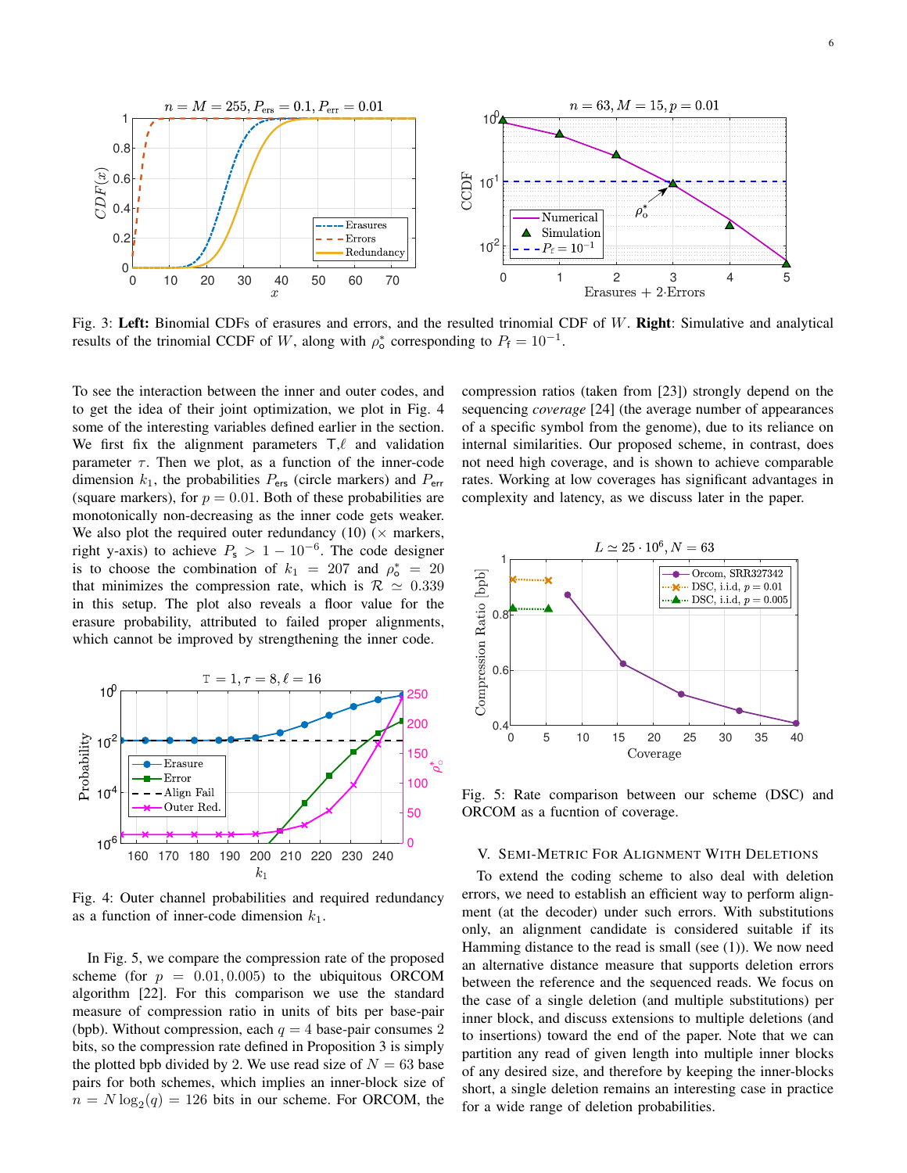

Fig. 3: Left: Binomial CDFs of erasures and errors, and the resulted trinomial CDF of W. Right: Simulative and analytical results of the trinomial CCDF of W, along with  $\rho_o^*$  corresponding to  $P_f = 10^{-1}$ .

To see the interaction between the inner and outer codes, and to get the idea of their joint optimization, we plot in Fig. 4 some of the interesting variables defined earlier in the section. We first fix the alignment parameters  $T,\ell$  and validation parameter  $\tau$ . Then we plot, as a function of the inner-code dimension  $k_1$ , the probabilities  $P_{\text{ers}}$  (circle markers) and  $P_{\text{err}}$ (square markers), for  $p = 0.01$ . Both of these probabilities are monotonically non-decreasing as the inner code gets weaker. We also plot the required outer redundancy (10) ( $\times$  markers, right y-axis) to achieve  $P_s > 1 - 10^{-6}$ . The code designer is to choose the combination of  $k_1 = 207$  and  $\rho_o^* = 20$ that minimizes the compression rate, which is  $\mathcal{R} \simeq 0.339$ in this setup. The plot also reveals a floor value for the erasure probability, attributed to failed proper alignments, which cannot be improved by strengthening the inner code.



Fig. 4: Outer channel probabilities and required redundancy as a function of inner-code dimension  $k_1$ .

In Fig. 5, we compare the compression rate of the proposed scheme (for  $p = 0.01, 0.005$ ) to the ubiquitous ORCOM algorithm [22]. For this comparison we use the standard measure of compression ratio in units of bits per base-pair (bpb). Without compression, each  $q = 4$  base-pair consumes 2 bits, so the compression rate defined in Proposition 3 is simply the plotted bpb divided by 2. We use read size of  $N = 63$  base pairs for both schemes, which implies an inner-block size of  $n = N \log_2(q) = 126$  bits in our scheme. For ORCOM, the compression ratios (taken from [23]) strongly depend on the sequencing *coverage* [24] (the average number of appearances of a specific symbol from the genome), due to its reliance on internal similarities. Our proposed scheme, in contrast, does not need high coverage, and is shown to achieve comparable rates. Working at low coverages has significant advantages in complexity and latency, as we discuss later in the paper.



Fig. 5: Rate comparison between our scheme (DSC) and ORCOM as a fucntion of coverage.

## V. SEMI-METRIC FOR ALIGNMENT WITH DELETIONS

To extend the coding scheme to also deal with deletion errors, we need to establish an efficient way to perform alignment (at the decoder) under such errors. With substitutions only, an alignment candidate is considered suitable if its Hamming distance to the read is small (see (1)). We now need an alternative distance measure that supports deletion errors between the reference and the sequenced reads. We focus on the case of a single deletion (and multiple substitutions) per inner block, and discuss extensions to multiple deletions (and to insertions) toward the end of the paper. Note that we can partition any read of given length into multiple inner blocks of any desired size, and therefore by keeping the inner-blocks short, a single deletion remains an interesting case in practice for a wide range of deletion probabilities.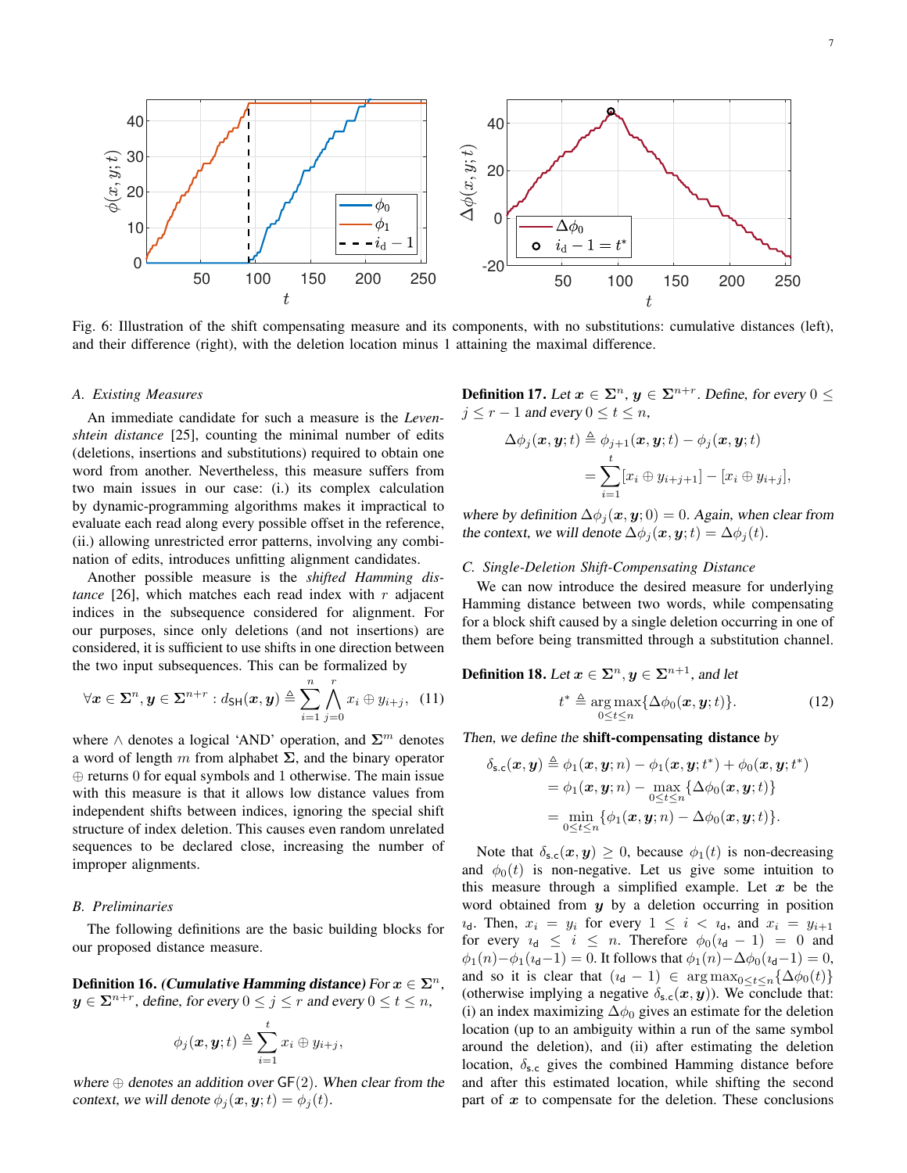

Fig. 6: Illustration of the shift compensating measure and its components, with no substitutions: cumulative distances (left), and their difference (right), with the deletion location minus 1 attaining the maximal difference.

#### *A. Existing Measures*

An immediate candidate for such a measure is the *Levenshtein distance* [25], counting the minimal number of edits (deletions, insertions and substitutions) required to obtain one word from another. Nevertheless, this measure suffers from two main issues in our case: (i.) its complex calculation by dynamic-programming algorithms makes it impractical to evaluate each read along every possible offset in the reference, (ii.) allowing unrestricted error patterns, involving any combination of edits, introduces unfitting alignment candidates.

Another possible measure is the *shifted Hamming distance* [26], which matches each read index with  $r$  adjacent indices in the subsequence considered for alignment. For our purposes, since only deletions (and not insertions) are considered, it is sufficient to use shifts in one direction between the two input subsequences. This can be formalized by

$$
\forall \mathbf{x} \in \Sigma^n, \mathbf{y} \in \Sigma^{n+r} : d_{\mathsf{SH}}(\mathbf{x}, \mathbf{y}) \triangleq \sum_{i=1}^n \bigwedge_{j=0}^r x_i \oplus y_{i+j}, \quad (11)
$$

where  $\wedge$  denotes a logical 'AND' operation, and  $\Sigma^m$  denotes a word of length m from alphabet  $\Sigma$ , and the binary operator ⊕ returns 0 for equal symbols and 1 otherwise. The main issue with this measure is that it allows low distance values from independent shifts between indices, ignoring the special shift structure of index deletion. This causes even random unrelated sequences to be declared close, increasing the number of improper alignments.

## *B. Preliminaries*

The following definitions are the basic building blocks for our proposed distance measure.

Definition 16. (Cumulative Hamming distance) For  $x \in \Sigma^n$ ,  $y \in \mathbf{\Sigma}^{n+r}$ , define, for every  $0 \leq j \leq r$  and every  $0 \leq t \leq n$ ,

$$
\phi_j(\boldsymbol{x},\boldsymbol{y};t) \triangleq \sum_{i=1}^t x_i \oplus y_{i+j},
$$

where  $\oplus$  denotes an addition over  $GF(2)$ . When clear from the context, we will denote  $\phi_i(\mathbf{x}, \mathbf{y}; t) = \phi_i(t)$ .

**Definition 17.** Let  $x \in \Sigma^n$ ,  $y \in \Sigma^{n+r}$ . Define, for every  $0 \leq$  $j \leq r - 1$  and every  $0 \leq t \leq n$ ,

$$
\Delta \phi_j(\boldsymbol{x}, \boldsymbol{y}; t) \triangleq \phi_{j+1}(\boldsymbol{x}, \boldsymbol{y}; t) - \phi_j(\boldsymbol{x}, \boldsymbol{y}; t)
$$
  
= 
$$
\sum_{i=1}^t [x_i \oplus y_{i+j+1}] - [x_i \oplus y_{i+j}],
$$

where by definition  $\Delta \phi_i(\mathbf{x}, \mathbf{y}; 0) = 0$ . Again, when clear from the context, we will denote  $\Delta \phi_i(\mathbf{x}, \mathbf{y}; t) = \Delta \phi_i(t)$ .

# *C. Single-Deletion Shift-Compensating Distance*

We can now introduce the desired measure for underlying Hamming distance between two words, while compensating for a block shift caused by a single deletion occurring in one of them before being transmitted through a substitution channel.

**Definition 18.** Let  $x \in \Sigma^n, y \in \Sigma^{n+1}$ , and let

$$
t^* \triangleq \underset{0 \le t \le n}{\arg \max} \{ \Delta \phi_0(\boldsymbol{x}, \boldsymbol{y}; t) \}. \tag{12}
$$

Then, we define the shift-compensating distance by

$$
\begin{aligned} \delta_{\textbf{s}.\textbf{c}}(\boldsymbol{x},\boldsymbol{y}) &\triangleq \phi_1(\boldsymbol{x},\boldsymbol{y};n) - \phi_1(\boldsymbol{x},\boldsymbol{y};t^*) + \phi_0(\boldsymbol{x},\boldsymbol{y};t^*) \\ &= \phi_1(\boldsymbol{x},\boldsymbol{y};n) - \max_{0 \leq t \leq n}\{\Delta \phi_0(\boldsymbol{x},\boldsymbol{y};t)\} \\ &= \min_{0 \leq t \leq n}\{\phi_1(\boldsymbol{x},\boldsymbol{y};n) - \Delta \phi_0(\boldsymbol{x},\boldsymbol{y};t)\}. \end{aligned}
$$

Note that  $\delta_{s,c}(x, y) \geq 0$ , because  $\phi_1(t)$  is non-decreasing and  $\phi_0(t)$  is non-negative. Let us give some intuition to this measure through a simplified example. Let  $x$  be the word obtained from  $y$  by a deletion occurring in position  $i_{\mathsf{d}}$ . Then,  $x_i = y_i$  for every  $1 \leq i \leq i_{\mathsf{d}}$ , and  $x_i = y_{i+1}$ for every  $i_d \leq i \leq n$ . Therefore  $\phi_0(i_d - 1) = 0$  and  $\phi_1(n) - \phi_1(i_d-1) = 0$ . It follows that  $\phi_1(n) - \Delta \phi_0(i_d-1) = 0$ , and so it is clear that  $(i_d - 1) \in \arg \max_{0 \le t \le n} {\{\Delta \phi_0(t)\}}$ (otherwise implying a negative  $\delta_{s.c}(x, y)$ ). We conclude that: (i) an index maximizing  $\Delta\phi_0$  gives an estimate for the deletion location (up to an ambiguity within a run of the same symbol around the deletion), and (ii) after estimating the deletion location,  $\delta_{s.c}$  gives the combined Hamming distance before and after this estimated location, while shifting the second part of  $x$  to compensate for the deletion. These conclusions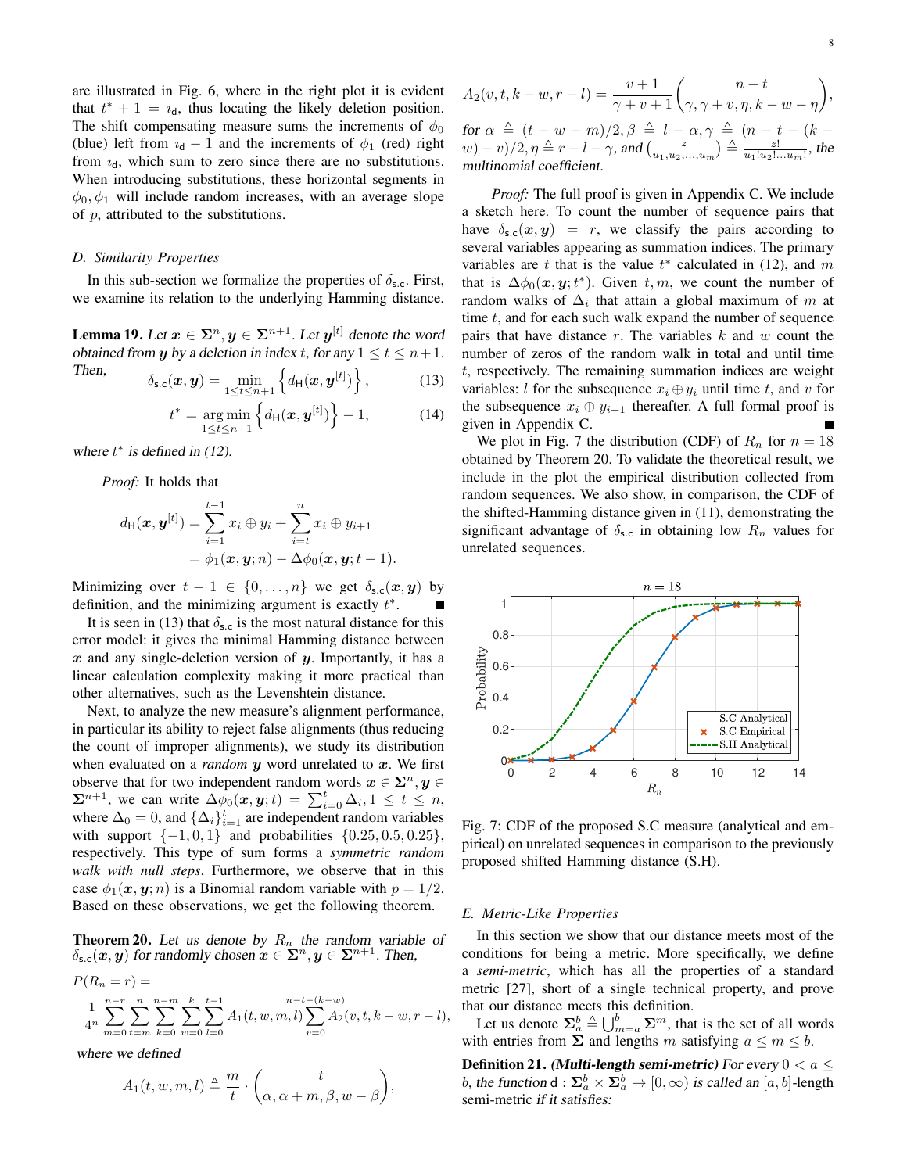are illustrated in Fig. 6, where in the right plot it is evident that  $t^* + 1 = i_d$ , thus locating the likely deletion position. The shift compensating measure sums the increments of  $\phi_0$ (blue) left from  $i_d - 1$  and the increments of  $\phi_1$  (red) right from  $i_d$ , which sum to zero since there are no substitutions. When introducing substitutions, these horizontal segments in  $\phi_0, \phi_1$  will include random increases, with an average slope of p, attributed to the substitutions.

## *D. Similarity Properties*

In this sub-section we formalize the properties of  $\delta_{s.c}$ . First, we examine its relation to the underlying Hamming distance.

**Lemma 19.** Let  $x \in \Sigma^n, y \in \Sigma^{n+1}$ . Let  $y^{[t]}$  denote the word obtained from y by a deletion in index t, for any  $1 \le t \le n+1$ .

Then, 
$$
\delta_{\mathsf{s.c}}(\boldsymbol{x},\boldsymbol{y}) = \min_{1 \leq t \leq n+1} \left\{ d_{\mathsf{H}}(\boldsymbol{x},\boldsymbol{y}^{[t]}) \right\}, \tag{13}
$$

$$
t^* = \underset{1 \leq t \leq n+1}{\arg \min} \left\{ d_{\mathsf{H}}(\bm{x}, \bm{y}^{[t]}) \right\} - 1, \tag{14}
$$

where  $t^*$  is defined in (12).

*Proof:* It holds that

$$
d_{\mathsf{H}}(\boldsymbol{x}, \boldsymbol{y}^{[t]}) = \sum_{i=1}^{t-1} x_i \oplus y_i + \sum_{i=t}^{n} x_i \oplus y_{i+1}
$$
  
=  $\phi_1(\boldsymbol{x}, \boldsymbol{y}; n) - \Delta \phi_0(\boldsymbol{x}, \boldsymbol{y}; t - 1).$ 

Minimizing over  $t - 1 \in \{0, ..., n\}$  we get  $\delta_{s,c}(x, y)$  by definition, and the minimizing argument is exactly  $t^*$ .

It is seen in (13) that  $\delta_{s,c}$  is the most natural distance for this error model: it gives the minimal Hamming distance between  $x$  and any single-deletion version of  $y$ . Importantly, it has a linear calculation complexity making it more practical than other alternatives, such as the Levenshtein distance.

Next, to analyze the new measure's alignment performance, in particular its ability to reject false alignments (thus reducing the count of improper alignments), we study its distribution when evaluated on a *random*  $y$  word unrelated to  $x$ . We first observe that for two independent random words  $x \in \Sigma^n, y \in$  $\sum_{i=0}^{n+1}$ , we can write  $\Delta \phi_0(x, y; t) = \sum_{i=0}^{t} \Delta_i, 1 \leq t \leq n$ , where  $\Delta_0 = 0$ , and  $\{\Delta_i\}_{i=1}^t$  are independent random variables with support  $\{-1, 0, 1\}$  and probabilities  $\{0.25, 0.5, 0.25\}$ , respectively. This type of sum forms a *symmetric random walk with null steps*. Furthermore, we observe that in this case  $\phi_1(x, y; n)$  is a Binomial random variable with  $p = 1/2$ . Based on these observations, we get the following theorem.

**Theorem 20.** Let us denote by  $R_n$  the random variable of  $\delta_{s,c}(x, y)$  for randomly chosen  $x \in \Sigma^n, y \in \Sigma^{n+1}$ . Then,

$$
P(R_n = r) =
$$
  

$$
\frac{1}{4^n} \sum_{m=0}^{n-r} \sum_{t=m}^{n} \sum_{k=0}^{n-m} \sum_{w=0}^{k} \sum_{l=0}^{t-1} A_1(t, w, m, l) \sum_{v=0}^{n-t-(k-w)} A_2(v, t, k-w, r-l),
$$

where we defined

$$
A_1(t, w, m, l) \triangleq \frac{m}{t} \cdot \binom{t}{\alpha, \alpha + m, \beta, w - \beta},
$$

$$
A_2(v, t, k - w, r - l) = \frac{v + 1}{\gamma + v + 1} {n - t \choose \gamma, \gamma + v, \eta, k - w - \eta},
$$
  
for  $\alpha \triangleq (t - w - m)/2, \beta \triangleq l - \alpha, \gamma \triangleq (n - t - (k - w) - v)/2, \eta \triangleq r - l - \gamma$ , and  ${n \choose u_1, u_2, ..., u_m} \triangleq \frac{z!}{u_1! u_2! \dots u_m!}$ , the multinomial coefficient.

*Proof:* The full proof is given in Appendix C. We include a sketch here. To count the number of sequence pairs that have  $\delta_{s,c}(x, y) = r$ , we classify the pairs according to several variables appearing as summation indices. The primary variables are t that is the value  $t^*$  calculated in (12), and m that is  $\Delta\phi_0(x, y; t^*)$ . Given  $t, m$ , we count the number of random walks of  $\Delta_i$  that attain a global maximum of m at time  $t$ , and for each such walk expand the number of sequence pairs that have distance  $r$ . The variables  $k$  and  $w$  count the number of zeros of the random walk in total and until time t, respectively. The remaining summation indices are weight variables: l for the subsequence  $x_i \oplus y_i$  until time t, and v for the subsequence  $x_i \oplus y_{i+1}$  thereafter. A full formal proof is given in Appendix C.

We plot in Fig. 7 the distribution (CDF) of  $R_n$  for  $n = 18$ obtained by Theorem 20. To validate the theoretical result, we include in the plot the empirical distribution collected from random sequences. We also show, in comparison, the CDF of the shifted-Hamming distance given in (11), demonstrating the significant advantage of  $\delta_{s.c}$  in obtaining low  $R_n$  values for unrelated sequences.



Fig. 7: CDF of the proposed S.C measure (analytical and empirical) on unrelated sequences in comparison to the previously proposed shifted Hamming distance (S.H).

#### *E. Metric-Like Properties*

In this section we show that our distance meets most of the conditions for being a metric. More specifically, we define a *semi-metric*, which has all the properties of a standard metric [27], short of a single technical property, and prove that our distance meets this definition.

Let us denote  $\Sigma_a^b \triangleq \bigcup_{m=a}^b \Sigma^m$ , that is the set of all words with entries from  $\Sigma$  and lengths m satisfying  $a \le m \le b$ .

**Definition 21.** (Multi-length semi-metric) For every  $0 < a \leq$ *b*, the function d :  $\Sigma_a^b \times \Sigma_a^b \rightarrow [0, \infty)$  is called an  $[a, b]$ -length semi-metric if it satisfies: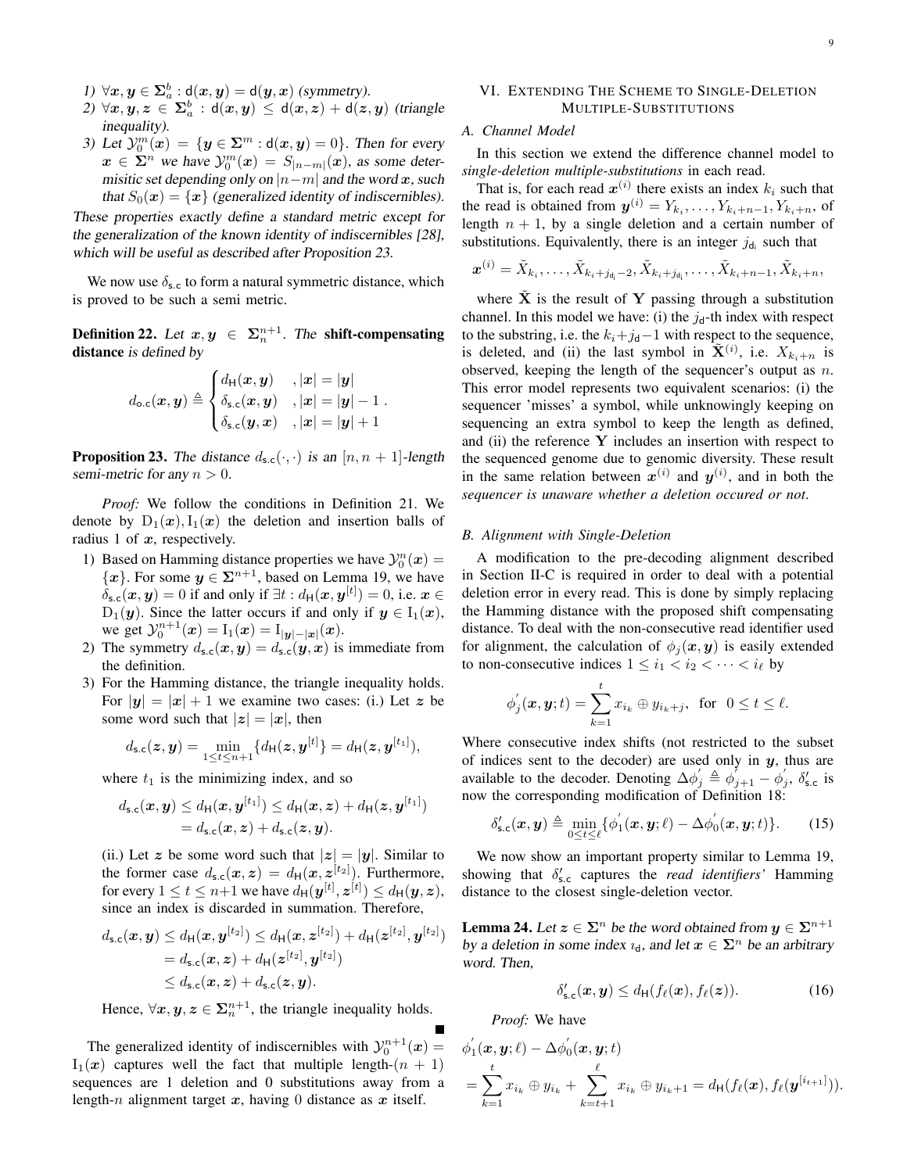- 1)  $\forall x, y \in \Sigma_a^b : d(x, y) = d(y, x)$  (symmetry).
- 2)  $\forall x, y, z \in \Sigma_a^b : \mathsf{d}(x, y) \leq \mathsf{d}(x, z) + \mathsf{d}(z, y)$  (triangle inequality).
- 3) Let  $\mathcal{Y}_0^m(x) = \{y \in \Sigma^m : d(x,y) = 0\}$ . Then for every  $\boldsymbol{x} \in \Sigma^n$  we have  $\mathcal{Y}_0^m(\boldsymbol{x}) = S_{|n-m|}(\boldsymbol{x})$ , as some determisitic set depending only on  $|n-m|$  and the word x, such that  $S_0(x) = \{x\}$  (generalized identity of indiscernibles).

These properties exactly define a standard metric except for the generalization of the known identity of indiscernibles [28], which will be useful as described after Proposition 23.

We now use  $\delta_{s,c}$  to form a natural symmetric distance, which is proved to be such a semi metric.

**Definition 22.** Let  $x, y \in \Sigma_n^{n+1}$ . The **shift-compensating** distance is defined by

$$
d_{\text{o.c}}(\boldsymbol{x}, \boldsymbol{y}) \triangleq \begin{cases} d_{\text{H}}(\boldsymbol{x}, \boldsymbol{y}) & , |\boldsymbol{x}| = |\boldsymbol{y}| \\ \delta_{\text{s.c}}(\boldsymbol{x}, \boldsymbol{y}) & , |\boldsymbol{x}| = |\boldsymbol{y}| - 1 \\ \delta_{\text{s.c}}(\boldsymbol{y}, \boldsymbol{x}) & , |\boldsymbol{x}| = |\boldsymbol{y}| + 1 \end{cases}.
$$

**Proposition 23.** The distance  $d_{s,c}(\cdot, \cdot)$  is an  $[n, n + 1]$ -length semi-metric for any  $n > 0$ .

*Proof:* We follow the conditions in Definition 21. We denote by  $D_1(x)$ ,  $I_1(x)$  the deletion and insertion balls of radius 1 of  $x$ , respectively.

- 1) Based on Hamming distance properties we have  $y_0^n(x) =$  $\{x\}$ . For some  $y \in \Sigma^{n+1}$ , based on Lemma 19, we have  $\delta_{\mathsf{s.c}}(\bm{x},\bm{y})=0$  if and only if  $\exists t : d_{\mathsf{H}}(\bm{x},\bm{y}^{[t]})=0$ , i.e.  $\bm{x} \in$  $D_1(y)$ . Since the latter occurs if and only if  $y \in I_1(x)$ , we get  $y_0^{n+1}(\mathbf{x}) = I_1(\mathbf{x}) = I_{|\mathbf{y}|-|\mathbf{x}|}(\mathbf{x})$ .
- 2) The symmetry  $d_{s,c}(x, y) = d_{s,c}(y, x)$  is immediate from the definition.
- 3) For the Hamming distance, the triangle inequality holds. For  $|y| = |x| + 1$  we examine two cases: (i.) Let z be some word such that  $|z| = |x|$ , then

$$
d_{s,c}(z, y) = \min_{1 \leq t \leq n+1} \{ d_{\mathsf{H}}(z, y^{[t]}\} = d_{\mathsf{H}}(z, y^{[t_1]}),
$$

where  $t_1$  is the minimizing index, and so

$$
d_{\mathsf{s.c}}(\boldsymbol{x},\boldsymbol{y}) \leq d_{\mathsf{H}}(\boldsymbol{x},\boldsymbol{y}^{[t_1]}) \leq d_{\mathsf{H}}(\boldsymbol{x},\boldsymbol{z}) + d_{\mathsf{H}}(\boldsymbol{z},\boldsymbol{y}^{[t_1]})
$$
  
=  $d_{\mathsf{s.c}}(\boldsymbol{x},\boldsymbol{z}) + d_{\mathsf{s.c}}(\boldsymbol{z},\boldsymbol{y}).$ 

(ii.) Let z be some word such that  $|z| = |y|$ . Similar to the former case  $d_{s,c}(x, z) = d_H(x, z^{[t_2]})$ . Furthermore, for every  $1 \leq t \leq n+1$  we have  $d_{\mathsf{H}}(\bm{y}^{[t]},\bm{z}^{[t]}) \leq d_{\mathsf{H}}(\bm{y},\bm{z}),$ since an index is discarded in summation. Therefore,

$$
d_{s,c}(x,y) \leq d_{\mathsf{H}}(x,y^{[t_2]}) \leq d_{\mathsf{H}}(x,z^{[t_2]}) + d_{\mathsf{H}}(z^{[t_2]},y^{[t_2]})
$$
  
=  $d_{s,c}(x,z) + d_{\mathsf{H}}(z^{[t_2]},y^{[t_2]})$   
 $\leq d_{s,c}(x,z) + d_{s,c}(z,y).$ 

Hence,  $\forall x, y, z \in \Sigma_n^{n+1}$ , the triangle inequality holds.

The generalized identity of indiscernibles with  $y_0^{n+1}(\boldsymbol{x}) =$  $I_1(x)$  captures well the fact that multiple length- $(n + 1)$ sequences are 1 deletion and 0 substitutions away from a length-n alignment target  $x$ , having 0 distance as  $x$  itself.

# VI. EXTENDING THE SCHEME TO SINGLE-DELETION MULTIPLE-SUBSTITUTIONS

# *A. Channel Model*

In this section we extend the difference channel model to *single-deletion multiple-substitutions* in each read.

That is, for each read  $x^{(i)}$  there exists an index  $k_i$  such that the read is obtained from  $y^{(i)} = Y_{k_i}, \dots, Y_{k_i+n-1}, Y_{k_i+n}$ , of length  $n + 1$ , by a single deletion and a certain number of substitutions. Equivalently, there is an integer  $j_{d_i}$  such that

$$
\boldsymbol{x}^{(i)}=\tilde{X}_{k_i},\ldots,\tilde{X}_{k_i+j_{d_i}-2},\tilde{X}_{k_i+j_{d_i}},\ldots,\tilde{X}_{k_i+n-1},\tilde{X}_{k_i+n},
$$

where  $X$  is the result of Y passing through a substitution channel. In this model we have: (i) the  $j_d$ -th index with respect to the substring, i.e. the  $k_i+j_d-1$  with respect to the sequence, is deleted, and (ii) the last symbol in  $\tilde{\mathbf{X}}^{(i)}$ , i.e.  $X_{k_i+n}$  is observed, keeping the length of the sequencer's output as  $n$ . This error model represents two equivalent scenarios: (i) the sequencer 'misses' a symbol, while unknowingly keeping on sequencing an extra symbol to keep the length as defined, and (ii) the reference  $Y$  includes an insertion with respect to the sequenced genome due to genomic diversity. These result in the same relation between  $x^{(i)}$  and  $y^{(i)}$ , and in both the *sequencer is unaware whether a deletion occured or not*.

# *B. Alignment with Single-Deletion*

A modification to the pre-decoding alignment described in Section II-C is required in order to deal with a potential deletion error in every read. This is done by simply replacing the Hamming distance with the proposed shift compensating distance. To deal with the non-consecutive read identifier used for alignment, the calculation of  $\phi_i(\mathbf{x}, \mathbf{y})$  is easily extended to non-consecutive indices  $1 \leq i_1 < i_2 < \cdots < i_\ell$  by

$$
\phi_j^{'}(\boldsymbol{x},\boldsymbol{y};t)=\sum_{k=1}^tx_{i_k}\oplus y_{i_k+j},\;\;\text{for}\;\;0\leq t\leq\ell.
$$

Where consecutive index shifts (not restricted to the subset of indices sent to the decoder) are used only in  $y$ , thus are available to the decoder. Denoting  $\Delta \phi'_j \triangleq \phi'_{j+1} - \phi'_j$ ,  $\delta'_{s,c}$  is now the corresponding modification of Definition 18:

$$
\delta'_{\mathsf{s.c}}(\boldsymbol{x},\boldsymbol{y}) \triangleq \min_{0 \le t \le \ell} \{ \phi'_1(\boldsymbol{x},\boldsymbol{y};\ell) - \Delta \phi'_0(\boldsymbol{x},\boldsymbol{y};t) \}.
$$
 (15)

We now show an important property similar to Lemma 19, showing that  $\delta'_{s.c}$  captures the *read identifiers'* Hamming distance to the closest single-deletion vector.

**Lemma 24.** Let  $z \in \Sigma^n$  be the word obtained from  $y \in \Sigma^{n+1}$ by a deletion in some index  $u_d$ , and let  $x \in \Sigma^n$  be an arbitrary word. Then,

$$
\delta'_{\mathsf{s.c}}(\boldsymbol{x},\boldsymbol{y}) \leq d_{\mathsf{H}}(f_{\ell}(\boldsymbol{x}),f_{\ell}(\boldsymbol{z})). \tag{16}
$$

*Proof:* We have

$$
\phi_1'(\boldsymbol{x}, \boldsymbol{y}; \ell) - \Delta \phi_0'(\boldsymbol{x}, \boldsymbol{y}; t) \n= \sum_{k=1}^t x_{i_k} \oplus y_{i_k} + \sum_{k=t+1}^{\ell} x_{i_k} \oplus y_{i_k+1} = d_{\mathsf{H}}(f_{\ell}(\boldsymbol{x}), f_{\ell}(\boldsymbol{y}^{[i_{t+1}]})).
$$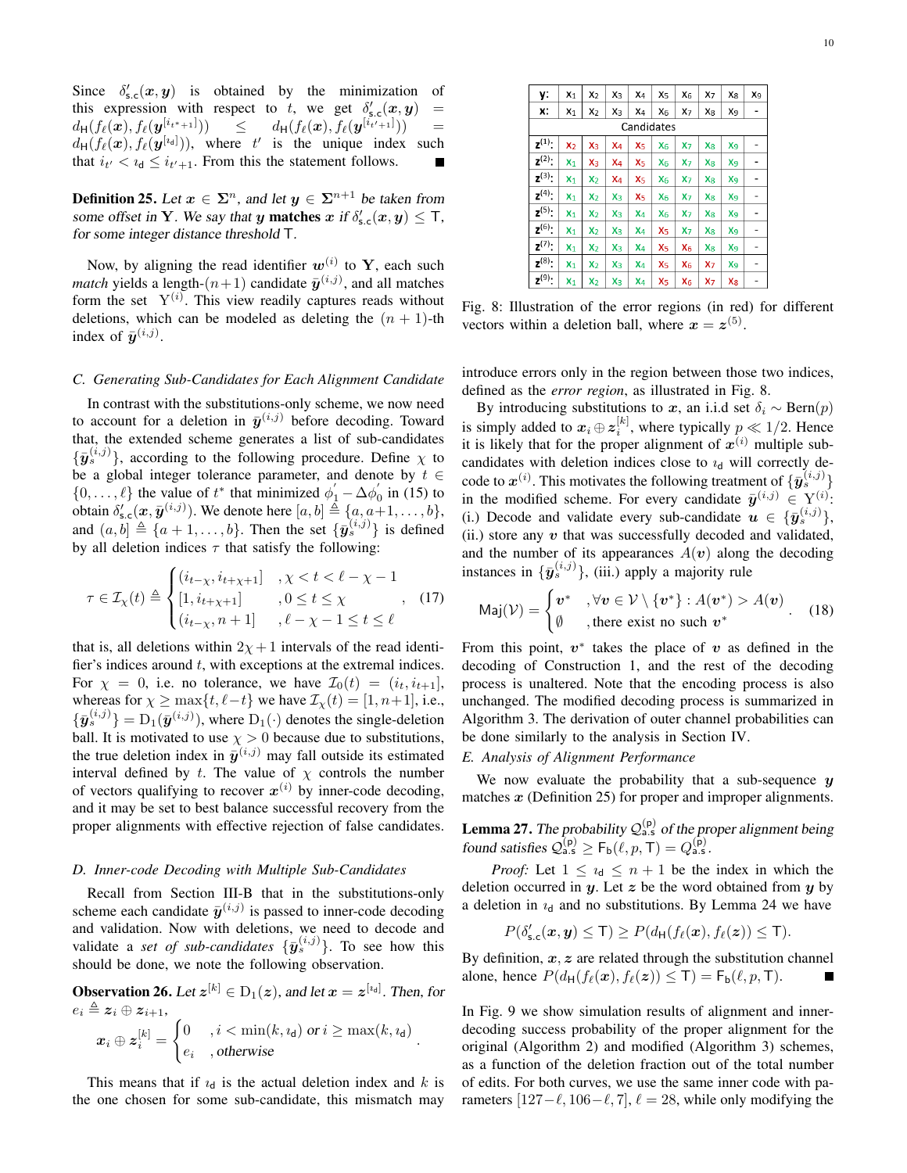Since  $\delta'_{s,c}(x, y)$  is obtained by the minimization of this expression with respect to t, we get  $\delta'_{s,c}(x, y)$  =  $d_{\mathsf{H}}(f_{\ell}(\boldsymbol{x}),f_{\ell}(\boldsymbol{y}^{[i_{t^{*}+1}]})) \quad \quad \leq \quad \quad d_{\mathsf{H}}(f_{\ell}(\boldsymbol{x}),f_{\ell}(\boldsymbol{y}^{[i_{t'+1}]})) \quad \quad \equiv \quad$  $d_H(f_\ell(\bm{x}), f_\ell(\bm{y}^{[i_d]})),$  where t' is the unique index such that  $i_{t'} < i_{d} \leq i_{t'+1}$ . From this the statement follows. Г

**Definition 25.** Let  $x \in \Sigma^n$ , and let  $y \in \Sigma^{n+1}$  be taken from some offset in Y. We say that y matches  $x$  if  $\delta'_{s,c}(x,y) \leq T$ , for some integer distance threshold T.

Now, by aligning the read identifier  $w^{(i)}$  to Y, each such *match* yields a length- $(n+1)$  candidate  $\bar{y}^{(i,j)}$ , and all matches form the set  $Y^{(i)}$ . This view readily captures reads without deletions, which can be modeled as deleting the  $(n + 1)$ -th index of  $\bar{y}^{(i,j)}$ .

# *C. Generating Sub-Candidates for Each Alignment Candidate*

In contrast with the substitutions-only scheme, we now need to account for a deletion in  $\bar{y}^{(i,j)}$  before decoding. Toward that, the extended scheme generates a list of sub-candidates  $\{\bar{\mathbf{y}}_{s}^{(i,j)}\}$ , according to the following procedure. Define  $\chi$  to be a global integer tolerance parameter, and denote by  $t \in$  $\{0, \ldots, \ell\}$  the value of  $t^*$  that minimized  $\phi'_1 - \Delta \phi'_0$  in (15) to obtain  $\delta'_{s,c}(\boldsymbol{x},\bar{\boldsymbol{y}}^{(i,j)})$ . We denote here  $[a,b] \triangleq \{a,a+1,\ldots,b\}$ , and  $(a, b] \triangleq \{a + 1, \ldots, b\}$ . Then the set  $\{\bar{y}_{s}^{(i,j)}\}$  is defined by all deletion indices  $\tau$  that satisfy the following:

$$
\tau \in \mathcal{I}_{\chi}(t) \triangleq \begin{cases} (i_{t-\chi}, i_{t+\chi+1}] & , \chi < t < \ell - \chi - 1 \\ [1, i_{t+\chi+1}] & , 0 \le t \le \chi \\ (i_{t-\chi}, n+1] & , \ell - \chi - 1 \le t \le \ell \end{cases}, (17)
$$

that is, all deletions within  $2\chi + 1$  intervals of the read identifier's indices around  $t$ , with exceptions at the extremal indices. For  $\chi = 0$ , i.e. no tolerance, we have  $\mathcal{I}_0(t) = (i_t, i_{t+1}],$ whereas for  $\chi \ge \max\{t, \ell - t\}$  we have  $\mathcal{I}_{\chi}(t) = [1, n+1],$  i.e.,  $\{\bar{\bm{y}}_s^{(i,j)}\} = \mathrm{D}_1(\bar{\bm{y}}^{(i,j)})$ , where  $\mathrm{D}_1(\cdot)$  denotes the single-deletion ball. It is motivated to use  $\chi > 0$  because due to substitutions, the true deletion index in  $\bar{y}^{(i,j)}$  may fall outside its estimated interval defined by t. The value of  $\chi$  controls the number of vectors qualifying to recover  $x^{(i)}$  by inner-code decoding, and it may be set to best balance successful recovery from the proper alignments with effective rejection of false candidates.

## *D. Inner-code Decoding with Multiple Sub-Candidates*

Recall from Section III-B that in the substitutions-only scheme each candidate  $\bar{y}^{(i,j)}$  is passed to inner-code decoding and validation. Now with deletions, we need to decode and validate a *set of sub-candidates*  $\{\bar{y}_{s}^{(i,j)}\}$ . To see how this should be done, we note the following observation.

**Observation 26.** Let  $z^{[k]} \in D_1(z)$ , and let  $x = z^{[i_d]}$ . Then, for  $e_i \triangleq z_i \oplus z_{i+1},$  $\boldsymbol{x}_{i} \oplus \boldsymbol{z}^{[k]}_{i} =$  $\int_0^{\infty}$ ,  $i < \min(k, i_d)$  or  $i \geq \max(k, i_d)$  $e_i$ , otherwise<br>  $e_i$ , otherwise

This means that if  $i_d$  is the actual deletion index and k is the one chosen for some sub-candidate, this mismatch may

| у:                   | $x_1$          | $x_2$          | X <sub>3</sub> | X <sub>4</sub> | X <sub>5</sub> | X <sub>6</sub> | X <sub>7</sub> | $x_8$          | X <sub>9</sub> |  |
|----------------------|----------------|----------------|----------------|----------------|----------------|----------------|----------------|----------------|----------------|--|
| х:                   | $x_1$          | $x_2$          | X <sub>3</sub> | X4             | $X_6$          | X <sub>7</sub> | X8             | X9             | -              |  |
| Candidates           |                |                |                |                |                |                |                |                |                |  |
| $z^{(1)}$ :          | $x_2$          | X <sub>3</sub> | X <sub>4</sub> | X <sub>5</sub> | X <sub>6</sub> | X <sub>7</sub> | $x_8$          | Xg             |                |  |
| $z^{(2)}$ :          | $x_1$          | X <sub>3</sub> | $X_4$          | X <sub>5</sub> | $X_6$          | $x_7$          | X <sub>8</sub> | X <sub>9</sub> | -              |  |
| $z^{(3)}$ :          | $x_1$          | $x_2$          | X4             | x <sub>5</sub> | $X_6$          | X <sub>7</sub> | X8             | X <sub>9</sub> | -              |  |
| $z^{(4)}$ :          | $x_1$          | $x_2$          | X <sub>3</sub> | X <sub>5</sub> | $X_6$          | X <sub>7</sub> | X <sub>8</sub> | X <sub>9</sub> |                |  |
| $z^{(5)}$ :          | $X_1$          | $x_2$          | Xз             | X <sub>4</sub> | X <sub>6</sub> | X <sub>7</sub> | X <sub>8</sub> | X <sub>9</sub> |                |  |
| $z^{(6)}$ :          | X <sub>1</sub> | $x_2$          | Xз             | X <sub>4</sub> | X <sub>5</sub> | X <sub>7</sub> | X <sub>8</sub> | X <sub>9</sub> | -              |  |
| $z^{(7)}$ :          | $X_1$          | $x_2$          | Xз             | X <sub>4</sub> | X <sub>5</sub> | $X_6$          | X <sub>8</sub> | X <sub>9</sub> | -              |  |
| $z^{(8)}$ :          | $X_1$          | $x_2$          | X <sub>3</sub> | $X_4$          | x <sub>5</sub> | $X_6$          | $x_7$          | X <sub>9</sub> | ۰              |  |
| $\mathbf{z}^{(9)}$ : | $X_1$          | $x_2$          | $x_3$          | X <sub>4</sub> | X <sub>5</sub> | $X_6$          | X <sub>7</sub> | $X_8$          | -              |  |

Fig. 8: Illustration of the error regions (in red) for different vectors within a deletion ball, where  $x = z^{(5)}$ .

introduce errors only in the region between those two indices, defined as the *error region*, as illustrated in Fig. 8.

By introducing substitutions to x, an i.i.d set  $\delta_i \sim \text{Bern}(p)$ is simply added to  $x_i \oplus z_i^{[k]}$ , where typically  $p \ll 1/2$ . Hence it is likely that for the proper alignment of  $x^{(i)}$  multiple subcandidates with deletion indices close to  $i_d$  will correctly decode to  $x^{(i)}$ . This motivates the following treatment of  $\{\bar{y}^{(i,j)}_s\}$ in the modified scheme. For every candidate  $\bar{y}^{(i,j)} \in Y^{(i)}$ : (i.) Decode and validate every sub-candidate  $u \in \{\bar{y}_{s}^{(i,j)}\},$ (ii.) store any  $v$  that was successfully decoded and validated, and the number of its appearances  $A(v)$  along the decoding instances in  $\{\bar{y}_s^{(i,j)}\}$ , (iii.) apply a majority rule

$$
Maj(\mathcal{V}) = \begin{cases} \boldsymbol{v}^* & , \forall \boldsymbol{v} \in \mathcal{V} \setminus \{\boldsymbol{v}^*\} : A(\boldsymbol{v}^*) > A(\boldsymbol{v}) \\ \emptyset & , \text{there exist no such } \boldsymbol{v}^* \end{cases} . \tag{18}
$$

From this point,  $v^*$  takes the place of v as defined in the decoding of Construction 1, and the rest of the decoding process is unaltered. Note that the encoding process is also unchanged. The modified decoding process is summarized in Algorithm 3. The derivation of outer channel probabilities can be done similarly to the analysis in Section IV.

# *E. Analysis of Alignment Performance*

We now evaluate the probability that a sub-sequence  $y$ matches  $x$  (Definition 25) for proper and improper alignments.

**Lemma 27.** The probability  $Q_{a.s}^{(p)}$  of the proper alignment being found satisfies  $\mathcal{Q}_{\text{a.s}}^{(p)} \geq F_{\text{b}}(\ell, p, T) = Q_{\text{a.s.}}^{(p)}$ .

*Proof:* Let  $1 \leq i_d \leq n+1$  be the index in which the deletion occurred in  $y$ . Let  $z$  be the word obtained from  $y$  by a deletion in  $i_d$  and no substitutions. By Lemma 24 we have

$$
P(\delta'_{\text{s.c}}(\boldsymbol{x},\boldsymbol{y})\leq T)\geq P(d_{\text{H}}(f_{\ell}(\boldsymbol{x}),f_{\ell}(\boldsymbol{z}))\leq T).
$$

By definition,  $x, z$  are related through the substitution channel alone, hence  $P(d_H(f_\ell(\boldsymbol{x}), f_\ell(\boldsymbol{z})) \leq T) = F_b(\ell, p, T).$ 

In Fig. 9 we show simulation results of alignment and innerdecoding success probability of the proper alignment for the original (Algorithm 2) and modified (Algorithm 3) schemes, as a function of the deletion fraction out of the total number of edits. For both curves, we use the same inner code with parameters  $[127-\ell, 106-\ell, 7]$ ,  $\ell = 28$ , while only modifying the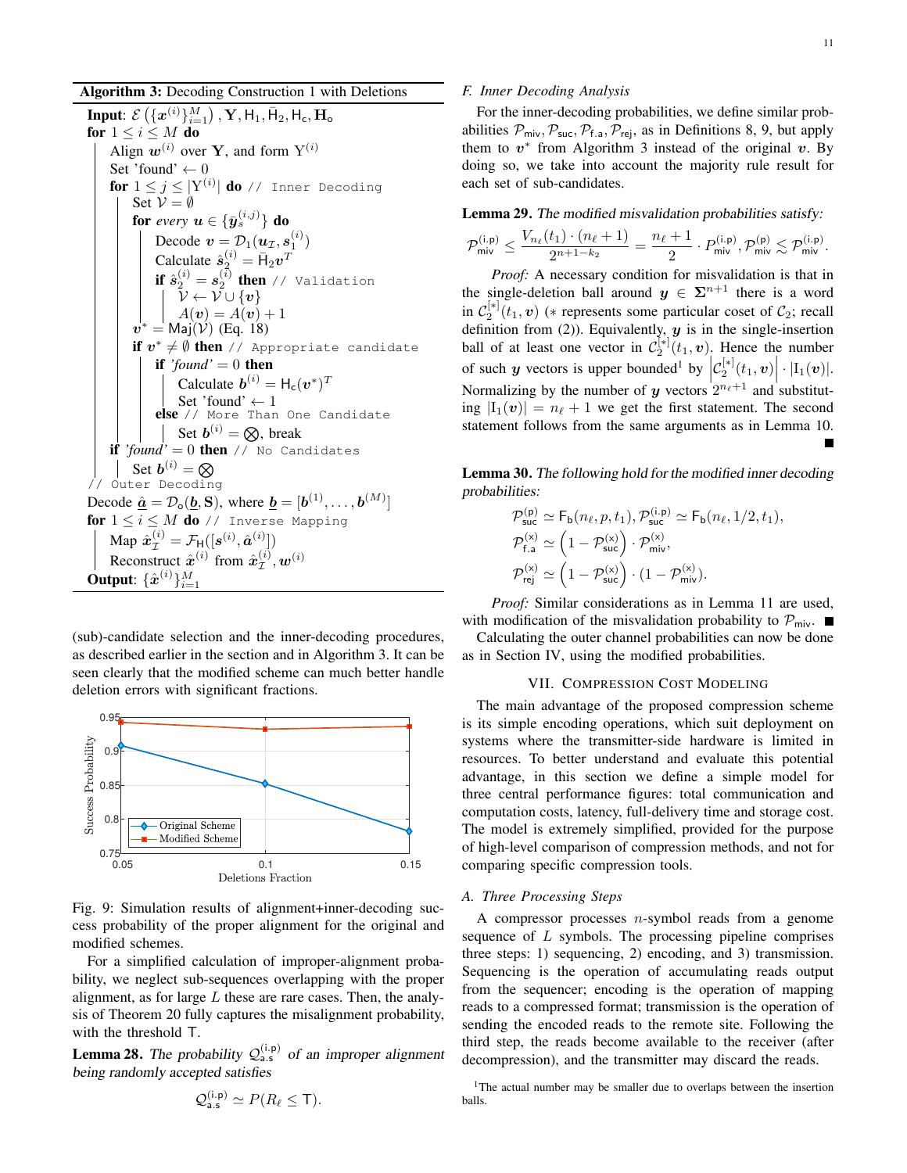Algorithm 3: Decoding Construction 1 with Deletions

Input:  $\mathcal{E}\left(\{\bm{x}^{(i)}\}_{i=1}^M\right)$  ,  $\mathbf{Y}, \mathsf{H}_1, \bar{\mathsf{H}}_2, \mathsf{H}_{\mathsf{c}}, \mathbf{H}_{\mathsf{o}}$ for  $1 \leq i \leq M$  do Align  $w^{(i)}$  over Y, and form  $Y^{(i)}$ Set 'found'  $\leftarrow 0$  $\mathbf{for}\;1\leq j\leq|\mathrm{Y}^{(i)}|$   $\mathbf{do}\;$  // Inner Decoding Set  $V = \emptyset$ for *every*  $\boldsymbol{u} \in \{\bar{\boldsymbol{y}}^{(i,j)}_{s}\}$  do Decode  $\mathbf{v} = \mathcal{D}_1(\mathbf{u}_\mathcal{I}, \mathbf{s}_1^{(i)})$ Calculate  $\hat{s}_2^{(i)} = \bar{H}_2 v^T$ **if**  $\hat{\boldsymbol{s}}_{2}^{(i)}=\boldsymbol{s}_{2}^{(\bar{i})}$  **then** // Validation  $\mathcal{V} \leftarrow \mathcal{V} \cup \{\bm{v}\}$  $A(v) = A(v) + 1$  $\bm{v}^* = \mathsf{Maj}(\mathcal{\acute{V}})$  (Eq. 18) if  $v^* \neq \emptyset$  then // Appropriate candidate if  $'found' = 0$  then Calculate  $\mathbf{b}^{(i)} = \mathsf{H}_{\mathsf{c}}(\mathbf{v}^*)^T$ Set 'found'  $\leftarrow$  1 else // More Than One Candidate Set  $b^{(i)} = \otimes$ , break if *'found'* = 0 then // No Candidates Set  $\boldsymbol{b}^{(i)}=\boldsymbol{\otimes}$ // Outer Decoding Decode  $\underline{\hat{a}} = \mathcal{D}_{\mathbf{o}}(\underline{b}, \mathbf{S}),$  where  $\underline{b} = [\boldsymbol{b}^{(1)}, \dots, \boldsymbol{b}^{(M)}]$ for  $1 \leq i \leq M$  do // Inverse Mapping Map  $\hat{\boldsymbol{x}}_{\mathcal{I}}^{(i)} = \mathcal{F}_{\text{H}}([\boldsymbol{s}^{(i)}, \hat{\boldsymbol{a}}^{(i)}])$ Reconstruct  $\hat{x}^{(i)}$  from  $\hat{x}^{(i)}_{\tau}$  $\overset{(i)}{\mathcal{I}}, \bm{w}^{(i)}$ Output:  $\{\hat{\bm{x}}^{(i)}\}_{i=1}^M$ 

(sub)-candidate selection and the inner-decoding procedures, as described earlier in the section and in Algorithm 3. It can be seen clearly that the modified scheme can much better handle deletion errors with significant fractions.



Fig. 9: Simulation results of alignment+inner-decoding success probability of the proper alignment for the original and modified schemes.

For a simplified calculation of improper-alignment probability, we neglect sub-sequences overlapping with the proper alignment, as for large  $L$  these are rare cases. Then, the analysis of Theorem 20 fully captures the misalignment probability, with the threshold T.

**Lemma 28.** The probability  $Q_{a.s}^{(i.p)}$  of an improper alignment being randomly accepted satisfies

$$
\mathcal{Q}_{\mathsf{a}.\mathsf{s}}^{(\mathsf{i}.\mathsf{p})} \simeq P(R_{\ell} \leq \mathsf{T}).
$$

# *F. Inner Decoding Analysis*

For the inner-decoding probabilities, we define similar probabilities  $\mathcal{P}_{\text{mix}}, \mathcal{P}_{\text{succ}}, \mathcal{P}_{\text{f.a}}, \mathcal{P}_{\text{rei}}$ , as in Definitions 8, 9, but apply them to  $v^*$  from Algorithm 3 instead of the original  $v$ . By doing so, we take into account the majority rule result for each set of sub-candidates.

Lemma 29. The modified misvalidation probabilities satisfy:

$$
\mathcal{P}_{\mathsf{miv}}^{(\mathsf{i},\mathsf{p})} \le \frac{V_{n_\ell}(t_1) \cdot (n_\ell+1)}{2^{n+1-k_2}} = \frac{n_\ell+1}{2} \cdot P_{\mathsf{miv}}^{(\mathsf{i},\mathsf{p})}, \mathcal{P}_{\mathsf{miv}}^{(\mathsf{p})} \lesssim \mathcal{P}_{\mathsf{miv}}^{(\mathsf{i},\mathsf{p})}.
$$

*Proof:* A necessary condition for misvalidation is that in the single-deletion ball around  $y \in \Sigma^{n+1}$  there is a word in  $\mathcal{C}_2^{[*]}(\tau_1, v)$  (\* represents some particular coset of  $\mathcal{C}_2$ ; recall definition from (2)). Equivalently,  $y$  is in the single-insertion ball of at least one vector in  $\mathcal{C}_2^{[*]}(t_1, v)$ . Hence the number of such y vectors is upper bounded<sup>1</sup> by  $\left| C_2^{[*]}(t_1, v) \right| \cdot |I_1(v)|$ . Normalizing by the number of y vectors  $2^{n_{\ell}+1}$  and substituting  $|I_1(v)| = n_\ell + 1$  we get the first statement. The second statement follows from the same arguments as in Lemma 10.

Lemma 30. The following hold for the modified inner decoding probabilities:

$$
\mathcal{P}_{\text{suc}}^{(p)} \simeq \mathsf{F}_{\mathsf{b}}(n_{\ell}, p, t_1), \mathcal{P}_{\text{suc}}^{(i,p)} \simeq \mathsf{F}_{\mathsf{b}}(n_{\ell}, 1/2, t_1),
$$
  

$$
\mathcal{P}_{\mathsf{f,a}}^{(\mathsf{x})} \simeq \left(1 - \mathcal{P}_{\text{suc}}^{(\mathsf{x})}\right) \cdot \mathcal{P}_{\text{miv}}^{(\mathsf{x})},
$$
  

$$
\mathcal{P}_{\mathsf{rej}}^{(\mathsf{x})} \simeq \left(1 - \mathcal{P}_{\text{suc}}^{(\mathsf{x})}\right) \cdot \left(1 - \mathcal{P}_{\text{miv}}^{(\mathsf{x})}\right).
$$

*Proof:* Similar considerations as in Lemma 11 are used, with modification of the misvalidation probability to  $\mathcal{P}_{\text{mix}}$ .

Calculating the outer channel probabilities can now be done as in Section IV, using the modified probabilities.

# VII. COMPRESSION COST MODELING

The main advantage of the proposed compression scheme is its simple encoding operations, which suit deployment on systems where the transmitter-side hardware is limited in resources. To better understand and evaluate this potential advantage, in this section we define a simple model for three central performance figures: total communication and computation costs, latency, full-delivery time and storage cost. The model is extremely simplified, provided for the purpose of high-level comparison of compression methods, and not for comparing specific compression tools.

## *A. Three Processing Steps*

A compressor processes  $n$ -symbol reads from a genome sequence of  $L$  symbols. The processing pipeline comprises three steps: 1) sequencing, 2) encoding, and 3) transmission. Sequencing is the operation of accumulating reads output from the sequencer; encoding is the operation of mapping reads to a compressed format; transmission is the operation of sending the encoded reads to the remote site. Following the third step, the reads become available to the receiver (after decompression), and the transmitter may discard the reads.

<sup>1</sup>The actual number may be smaller due to overlaps between the insertion balls.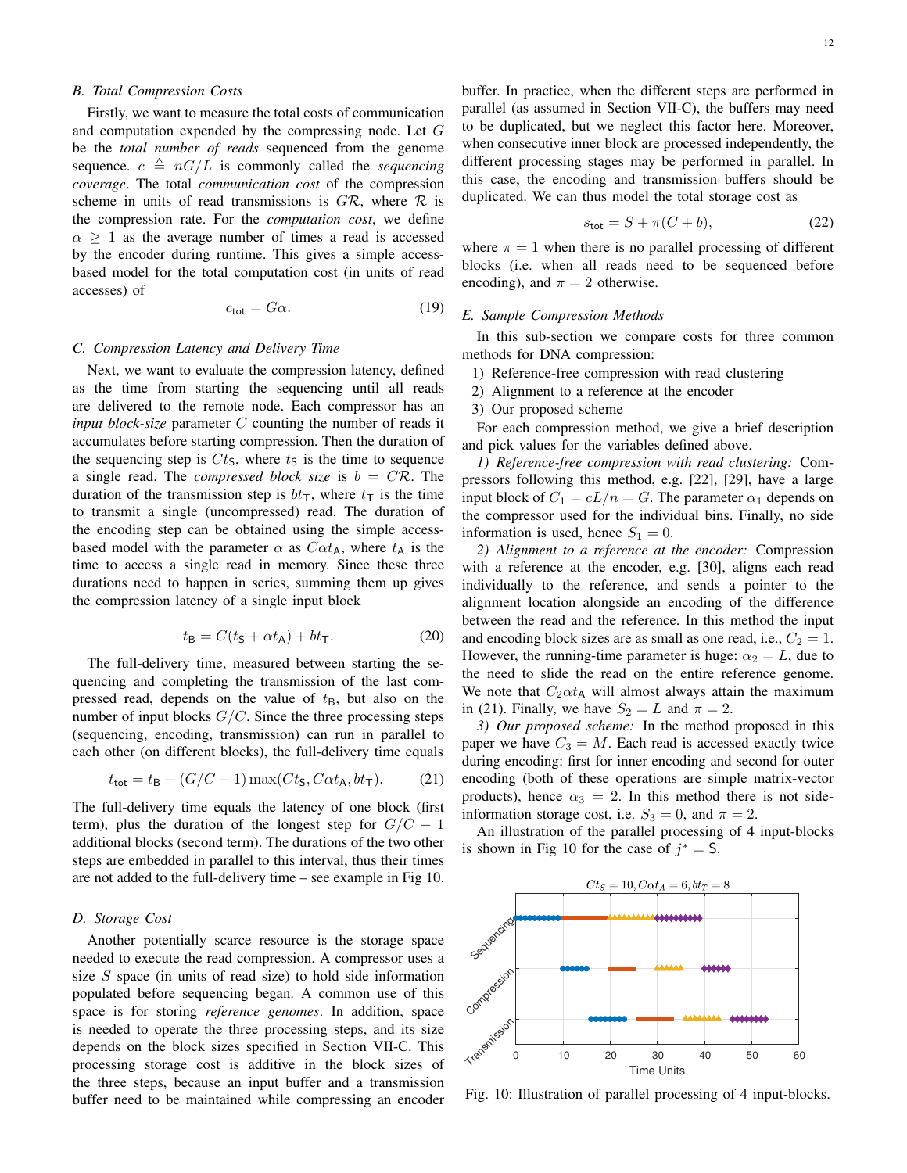# *B. Total Compression Costs*

Firstly, we want to measure the total costs of communication and computation expended by the compressing node. Let G be the *total number of reads* sequenced from the genome sequence.  $c \triangleq nG/L$  is commonly called the *sequencing coverage*. The total *communication cost* of the compression scheme in units of read transmissions is  $GR$ , where  $\mathcal R$  is the compression rate. For the *computation cost*, we define  $\alpha \geq 1$  as the average number of times a read is accessed by the encoder during runtime. This gives a simple accessbased model for the total computation cost (in units of read accesses) of

$$
c_{\text{tot}} = G\alpha. \tag{19}
$$

## *C. Compression Latency and Delivery Time*

Next, we want to evaluate the compression latency, defined as the time from starting the sequencing until all reads are delivered to the remote node. Each compressor has an *input block-size* parameter C counting the number of reads it accumulates before starting compression. Then the duration of the sequencing step is  $C_t$ , where  $t<sub>S</sub>$  is the time to sequence a single read. The *compressed block size* is  $b = C\mathcal{R}$ . The duration of the transmission step is  $bt<sub>T</sub>$ , where  $t<sub>T</sub>$  is the time to transmit a single (uncompressed) read. The duration of the encoding step can be obtained using the simple accessbased model with the parameter  $\alpha$  as  $C\alpha t_A$ , where  $t_A$  is the time to access a single read in memory. Since these three durations need to happen in series, summing them up gives the compression latency of a single input block

$$
t_{\mathsf{B}} = C(t_{\mathsf{S}} + \alpha t_{\mathsf{A}}) + b t_{\mathsf{T}}.\tag{20}
$$

The full-delivery time, measured between starting the sequencing and completing the transmission of the last compressed read, depends on the value of  $t_{\text{B}}$ , but also on the number of input blocks  $G/C$ . Since the three processing steps (sequencing, encoding, transmission) can run in parallel to each other (on different blocks), the full-delivery time equals

$$
t_{\text{tot}} = t_{\text{B}} + (G/C - 1)\max(Ct_{\text{S}}, C\alpha t_{\text{A}}, bt_{\text{T}}). \tag{21}
$$

The full-delivery time equals the latency of one block (first term), plus the duration of the longest step for  $G/C - 1$ additional blocks (second term). The durations of the two other steps are embedded in parallel to this interval, thus their times are not added to the full-delivery time – see example in Fig 10.

# *D. Storage Cost*

Another potentially scarce resource is the storage space needed to execute the read compression. A compressor uses a size  $S$  space (in units of read size) to hold side information populated before sequencing began. A common use of this space is for storing *reference genomes*. In addition, space is needed to operate the three processing steps, and its size depends on the block sizes specified in Section VII-C. This processing storage cost is additive in the block sizes of the three steps, because an input buffer and a transmission buffer need to be maintained while compressing an encoder buffer. In practice, when the different steps are performed in parallel (as assumed in Section VII-C), the buffers may need to be duplicated, but we neglect this factor here. Moreover, when consecutive inner block are processed independently, the different processing stages may be performed in parallel. In this case, the encoding and transmission buffers should be duplicated. We can thus model the total storage cost as

$$
s_{\text{tot}} = S + \pi (C + b),\tag{22}
$$

where  $\pi = 1$  when there is no parallel processing of different blocks (i.e. when all reads need to be sequenced before encoding), and  $\pi = 2$  otherwise.

## *E. Sample Compression Methods*

In this sub-section we compare costs for three common methods for DNA compression:

- 1) Reference-free compression with read clustering
- 2) Alignment to a reference at the encoder
- 3) Our proposed scheme

For each compression method, we give a brief description and pick values for the variables defined above.

*1) Reference-free compression with read clustering:* Compressors following this method, e.g. [22], [29], have a large input block of  $C_1 = cL/n = G$ . The parameter  $\alpha_1$  depends on the compressor used for the individual bins. Finally, no side information is used, hence  $S_1 = 0$ .

*2) Alignment to a reference at the encoder:* Compression with a reference at the encoder, e.g. [30], aligns each read individually to the reference, and sends a pointer to the alignment location alongside an encoding of the difference between the read and the reference. In this method the input and encoding block sizes are as small as one read, i.e.,  $C_2 = 1$ . However, the running-time parameter is huge:  $\alpha_2 = L$ , due to the need to slide the read on the entire reference genome. We note that  $C_2 \alpha t_A$  will almost always attain the maximum in (21). Finally, we have  $S_2 = L$  and  $\pi = 2$ .

*3) Our proposed scheme:* In the method proposed in this paper we have  $C_3 = M$ . Each read is accessed exactly twice during encoding: first for inner encoding and second for outer encoding (both of these operations are simple matrix-vector products), hence  $\alpha_3 = 2$ . In this method there is not sideinformation storage cost, i.e.  $S_3 = 0$ , and  $\pi = 2$ .

An illustration of the parallel processing of 4 input-blocks is shown in Fig 10 for the case of  $j^* = S$ .



Fig. 10: Illustration of parallel processing of 4 input-blocks.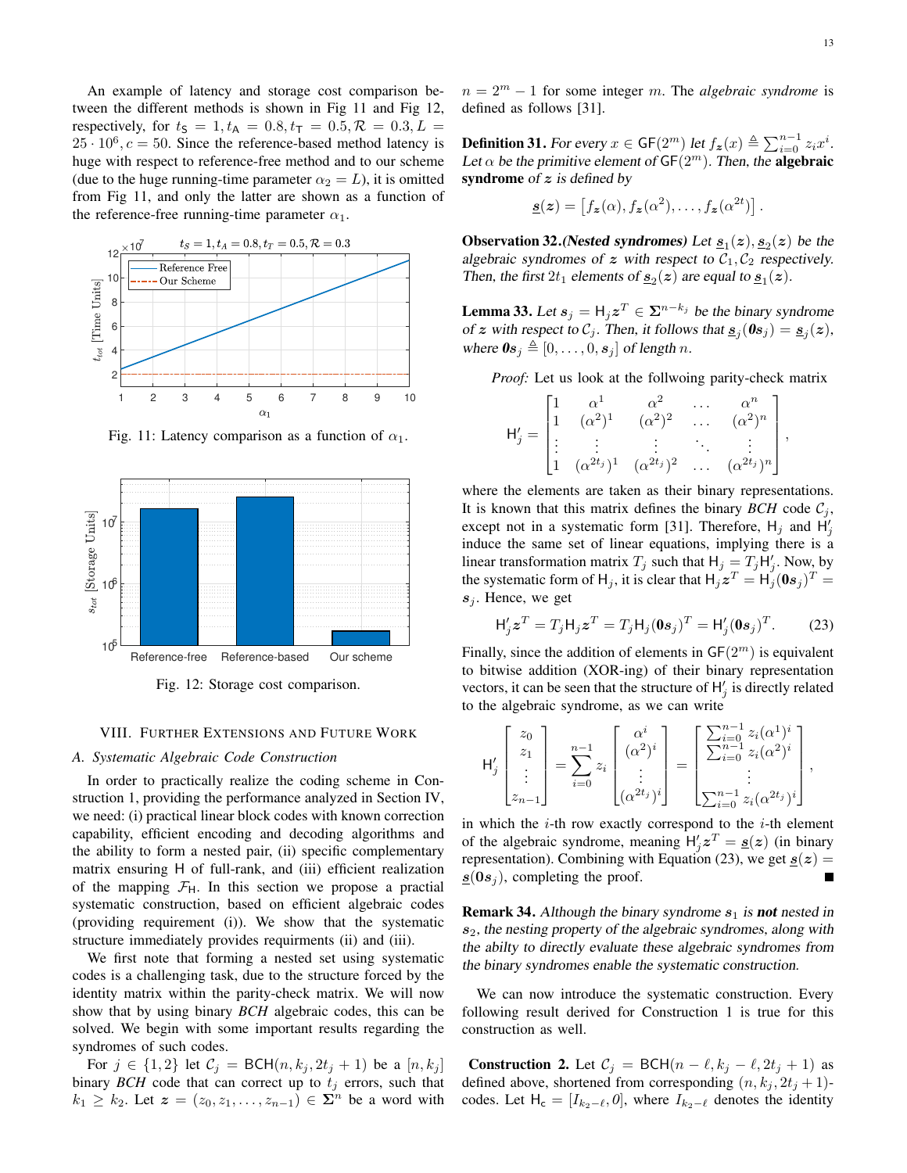An example of latency and storage cost comparison between the different methods is shown in Fig 11 and Fig 12, respectively, for  $t_s = 1, t_A = 0.8, t_T = 0.5, \mathcal{R} = 0.3, L =$  $25 \cdot 10^6$ ,  $c = 50$ . Since the reference-based method latency is huge with respect to reference-free method and to our scheme (due to the huge running-time parameter  $\alpha_2 = L$ ), it is omitted from Fig 11, and only the latter are shown as a function of the reference-free running-time parameter  $\alpha_1$ .



Fig. 11: Latency comparison as a function of  $\alpha_1$ .



Fig. 12: Storage cost comparison.

## VIII. FURTHER EXTENSIONS AND FUTURE WORK

## *A. Systematic Algebraic Code Construction*

In order to practically realize the coding scheme in Construction 1, providing the performance analyzed in Section IV, we need: (i) practical linear block codes with known correction capability, efficient encoding and decoding algorithms and the ability to form a nested pair, (ii) specific complementary matrix ensuring H of full-rank, and (iii) efficient realization of the mapping  $\mathcal{F}_{H}$ . In this section we propose a practial systematic construction, based on efficient algebraic codes (providing requirement (i)). We show that the systematic structure immediately provides requirments (ii) and (iii).

We first note that forming a nested set using systematic codes is a challenging task, due to the structure forced by the identity matrix within the parity-check matrix. We will now show that by using binary *BCH* algebraic codes, this can be solved. We begin with some important results regarding the syndromes of such codes.

For  $j \in \{1,2\}$  let  $C_j = \text{BCH}(n, k_j, 2t_j + 1)$  be a  $[n, k_j]$ binary  $BCH$  code that can correct up to  $t_j$  errors, such that  $k_1 \geq k_2$ . Let  $\boldsymbol{z} = (z_0, z_1, \ldots, z_{n-1}) \in \boldsymbol{\Sigma}^n$  be a word with  $n = 2<sup>m</sup> - 1$  for some integer m. The *algebraic syndrome* is defined as follows [31].

**Definition 31.** For every  $x \in \mathsf{GF}(2^m)$  let  $f_{\boldsymbol{z}}(x) \triangleq \sum_{i=0}^{n-1} z_i x^i$ . Let  $\alpha$  be the primitive element of GF(2<sup>m</sup>). Then, the **algebraic** syndrome of  $z$  is defined by

$$
\underline{\boldsymbol{s}}(\boldsymbol{z}) = \left[ f_{\boldsymbol{z}}(\alpha), f_{\boldsymbol{z}}(\alpha^2), \ldots, f_{\boldsymbol{z}}(\alpha^{2t}) \right].
$$

**Observation 32.** (Nested syndromes) Let  $\underline{s}_1(z)$ ,  $\underline{s}_2(z)$  be the algebraic syndromes of z with respect to  $C_1, C_2$  respectively. Then, the first  $2t_1$  elements of  $\underline{s}_2(z)$  are equal to  $\underline{s}_1(z)$ .

**Lemma 33.** Let  $s_j = H_j z^T \in \Sigma^{n-k_j}$  be the binary syndrome of z with respect to  $\mathcal{C}_j$ . Then, it follows that  $\underline{\mathbf{s}}_j(\mathbf{0}\mathbf{s}_j) = \underline{\mathbf{s}}_j(z)$ , where  $\mathbf{0}s_j \triangleq [0, \ldots, 0, s_j]$  of length n.

*Proof:* Let us look at the follwoing parity-check matrix

$$
\mathsf{H}'_j = \begin{bmatrix} 1 & \alpha^1 & \alpha^2 & \dots & \alpha^n \\ 1 & (\alpha^2)^1 & (\alpha^2)^2 & \dots & (\alpha^2)^n \\ \vdots & \vdots & \vdots & \ddots & \vdots \\ 1 & (\alpha^{2t_j})^1 & (\alpha^{2t_j})^2 & \dots & (\alpha^{2t_j})^n \end{bmatrix},
$$

where the elements are taken as their binary representations. It is known that this matrix defines the binary *BCH* code  $C_i$ , except not in a systematic form [31]. Therefore,  $H_j$  and  $H'_j$ induce the same set of linear equations, implying there is a linear transformation matrix  $T_j$  such that  $H_j = T_j H'_j$ . Now, by the systematic form of H<sub>j</sub>, it is clear that  $H_j z^T = H_j (0 s_j)^T =$  $s_i$ . Hence, we get

$$
\mathsf{H}'_j \mathbf{z}^T = T_j \mathsf{H}_j \mathbf{z}^T = T_j \mathsf{H}_j (\mathbf{0} \mathbf{s}_j)^T = \mathsf{H}'_j (\mathbf{0} \mathbf{s}_j)^T. \tag{23}
$$

Finally, since the addition of elements in  $GF(2<sup>m</sup>)$  is equivalent to bitwise addition (XOR-ing) of their binary representation vectors, it can be seen that the structure of  $H'_j$  is directly related to the algebraic syndrome, as we can write

$$
\mathsf{H}'_j\begin{bmatrix} z_0 \\ z_1 \\ \vdots \\ z_{n-1} \end{bmatrix} = \sum_{i=0}^{n-1} z_i \begin{bmatrix} \alpha^i \\ (\alpha^2)^i \\ \vdots \\ (\alpha^{2t_j})^i \end{bmatrix} = \begin{bmatrix} \sum_{i=0}^{n-1} z_i (\alpha^1)^i \\ \sum_{i=0}^{n-1} z_i (\alpha^2)^i \\ \vdots \\ \sum_{i=0}^{n-1} z_i (\alpha^{2t_j})^i \end{bmatrix},
$$

in which the  $i$ -th row exactly correspond to the  $i$ -th element of the algebraic syndrome, meaning  $H'_j z^T = g(z)$  (in binary representation). Combining with Equation (23), we get  $\underline{s}(z) =$  $s(0s_i)$ , completing the proof.

**Remark 34.** Although the binary syndrome  $s_1$  is not nested in  $s<sub>2</sub>$ , the nesting property of the algebraic syndromes, along with the abilty to directly evaluate these algebraic syndromes from the binary syndromes enable the systematic construction.

We can now introduce the systematic construction. Every following result derived for Construction 1 is true for this construction as well.

**Construction 2.** Let  $C_j = \text{BCH}(n - \ell, k_j - \ell, 2t_j + 1)$  as defined above, shortened from corresponding  $(n, k_j, 2t_j + 1)$ codes. Let  $H_c = [I_{k_2-\ell}, 0]$ , where  $I_{k_2-\ell}$  denotes the identity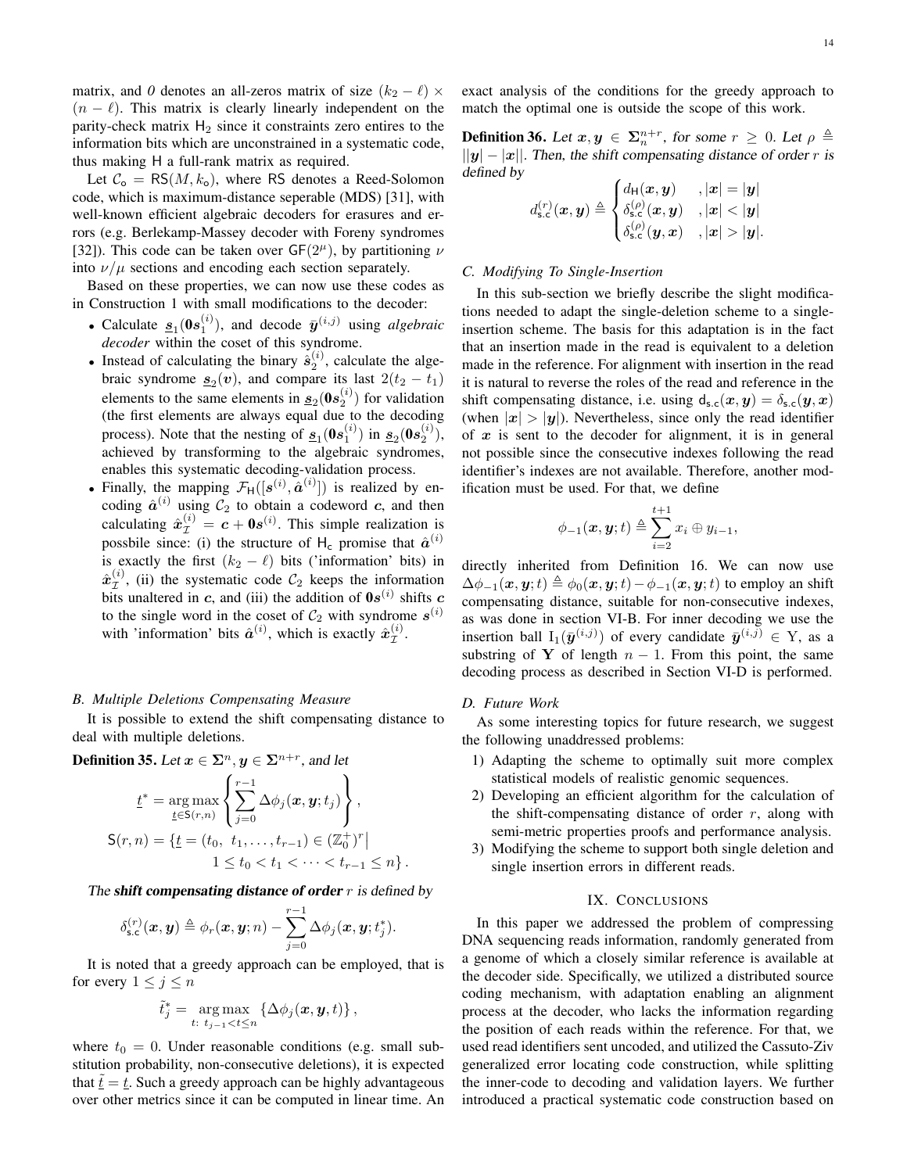matrix, and 0 denotes an all-zeros matrix of size  $(k_2 - \ell) \times$  $(n - \ell)$ . This matrix is clearly linearly independent on the parity-check matrix  $H_2$  since it constraints zero entires to the information bits which are unconstrained in a systematic code, thus making H a full-rank matrix as required.

Let  $C_0 = RS(M, k_0)$ , where RS denotes a Reed-Solomon code, which is maximum-distance seperable (MDS) [31], with well-known efficient algebraic decoders for erasures and errors (e.g. Berlekamp-Massey decoder with Foreny syndromes [32]). This code can be taken over  $GF(2^{\mu})$ , by partitioning  $\nu$ into  $\nu/\mu$  sections and encoding each section separately.

Based on these properties, we can now use these codes as in Construction 1 with small modifications to the decoder:

- Calculate  $\underline{s}_1(\mathbf{0}s_1^{(i)})$ , and decode  $\overline{y}^{(i,j)}$  using *algebraic decoder* within the coset of this syndrome.
- Instead of calculating the binary  $\hat{s}_2^{(i)}$ , calculate the algebraic syndrome  $\underline{s}_2(v)$ , and compare its last  $2(t_2 - t_1)$ elements to the same elements in  $\underline{s}_2(\boldsymbol{0}s_2^{(i)})$  for validation (the first elements are always equal due to the decoding process). Note that the nesting of  $\underline{s}_1(0s_1^{(i)})$  in  $\underline{s}_2(0s_2^{(i)})$ , achieved by transforming to the algebraic syndromes, enables this systematic decoding-validation process.
- Finally, the mapping  $\mathcal{F}_H([s^{(i)}, \hat{a}^{(i)}])$  is realized by encoding  $\hat{a}^{(i)}$  using  $\mathcal{C}_2$  to obtain a codeword c, and then calculating  $\hat{x}_{\mathcal{I}}^{(i)} = c + \mathbf{0}s^{(i)}$ . This simple realization is possbile since: (i) the structure of H<sub>c</sub> promise that  $\hat{a}^{(i)}$ is exactly the first  $(k_2 - \ell)$  bits ('information' bits) in  $\hat{\bm{x}}^{(i)}_{\tau}$  $\mathcal{I}^{(i)}$ , (ii) the systematic code  $\mathcal{C}_2$  keeps the information bits unaltered in c, and (iii) the addition of  $0s^{(i)}$  shifts c to the single word in the coset of  $C_2$  with syndrome  $s^{(i)}$ with 'information' bits  $\hat{a}^{(i)}$ , which is exactly  $\hat{x}^{(i)}_{\tau}$  $\overset{(i)}{\mathcal{I}}$  .

## *B. Multiple Deletions Compensating Measure*

It is possible to extend the shift compensating distance to deal with multiple deletions.

**Definition 35.** Let  $x \in \Sigma^n, y \in \Sigma^{n+r}$ , and let

$$
\underline{t}^* = \underset{\underline{t} \in S(r,n)}{\arg \max} \left\{ \sum_{j=0}^{r-1} \Delta \phi_j(\mathbf{x}, \mathbf{y}; t_j) \right\},
$$
  

$$
S(r,n) = \{ \underline{t} = (t_0, t_1, \dots, t_{r-1}) \in (\mathbb{Z}_0^+)^r |
$$
  

$$
1 \le t_0 < t_1 < \dots < t_{r-1} \le n \}.
$$

The shift compensating distance of order  $r$  is defined by

$$
\delta_{\text{s.c}}^{(r)}(\boldsymbol{x},\boldsymbol{y}) \triangleq \phi_r(\boldsymbol{x},\boldsymbol{y};n) - \sum_{j=0}^{r-1} \Delta \phi_j(\boldsymbol{x},\boldsymbol{y};t_j^*).
$$

It is noted that a greedy approach can be employed, that is for every  $1 \leq j \leq n$ 

$$
\tilde{t}_j^* = \underset{t: \ t_{j-1} < t \leq n}{\arg \max} \left\{ \Delta \phi_j(\boldsymbol{x}, \boldsymbol{y}, t) \right\},\,
$$

where  $t_0 = 0$ . Under reasonable conditions (e.g. small substitution probability, non-consecutive deletions), it is expected that  $\underline{t} = \underline{t}$ . Such a greedy approach can be highly advantageous over other metrics since it can be computed in linear time. An exact analysis of the conditions for the greedy approach to match the optimal one is outside the scope of this work.

**Definition 36.** Let  $x, y \in \Sigma_n^{n+r}$ , for some  $r \geq 0$ . Let  $\rho \triangleq$  $||y| - |x||$ . Then, the shift compensating distance of order r is defined by

$$
d_{\text{s.c}}^{(r)}(\boldsymbol{x},\boldsymbol{y})\triangleq\begin{cases} d_{\text{H}}(\boldsymbol{x},\boldsymbol{y}) & ,|\boldsymbol{x}|=|\boldsymbol{y}| \\ \delta_{\text{s.c}}^{(\rho)}(\boldsymbol{x},\boldsymbol{y}) & ,|\boldsymbol{x}|<|\boldsymbol{y}| \\ \delta_{\text{s.c}}^{(\rho)}(\boldsymbol{y},\boldsymbol{x}) & ,|\boldsymbol{x}|>|\boldsymbol{y}|. \end{cases}
$$

## *C. Modifying To Single-Insertion*

In this sub-section we briefly describe the slight modifications needed to adapt the single-deletion scheme to a singleinsertion scheme. The basis for this adaptation is in the fact that an insertion made in the read is equivalent to a deletion made in the reference. For alignment with insertion in the read it is natural to reverse the roles of the read and reference in the shift compensating distance, i.e. using  $d_{s,c}(x, y) = \delta_{s,c}(y, x)$ (when  $|x| > |y|$ ). Nevertheless, since only the read identifier of  $x$  is sent to the decoder for alignment, it is in general not possible since the consecutive indexes following the read identifier's indexes are not available. Therefore, another modification must be used. For that, we define

$$
\phi_{-1}(\boldsymbol{x},\boldsymbol{y};t)\triangleq\sum_{i=2}^{t+1}x_i\oplus y_{i-1},
$$

directly inherited from Definition 16. We can now use  $\Delta\phi_{-1}(x, y; t) \triangleq \phi_0(x, y; t) - \phi_{-1}(x, y; t)$  to employ an shift compensating distance, suitable for non-consecutive indexes, as was done in section VI-B. For inner decoding we use the insertion ball  $I_1(\bar{y}^{(i,j)})$  of every candidate  $\bar{y}^{(i,j)} \in Y$ , as a substring of Y of length  $n - 1$ . From this point, the same decoding process as described in Section VI-D is performed.

## *D. Future Work*

As some interesting topics for future research, we suggest the following unaddressed problems:

- 1) Adapting the scheme to optimally suit more complex statistical models of realistic genomic sequences.
- 2) Developing an efficient algorithm for the calculation of the shift-compensating distance of order  $r$ , along with semi-metric properties proofs and performance analysis.
- 3) Modifying the scheme to support both single deletion and single insertion errors in different reads.

## IX. CONCLUSIONS

In this paper we addressed the problem of compressing DNA sequencing reads information, randomly generated from a genome of which a closely similar reference is available at the decoder side. Specifically, we utilized a distributed source coding mechanism, with adaptation enabling an alignment process at the decoder, who lacks the information regarding the position of each reads within the reference. For that, we used read identifiers sent uncoded, and utilized the Cassuto-Ziv generalized error locating code construction, while splitting the inner-code to decoding and validation layers. We further introduced a practical systematic code construction based on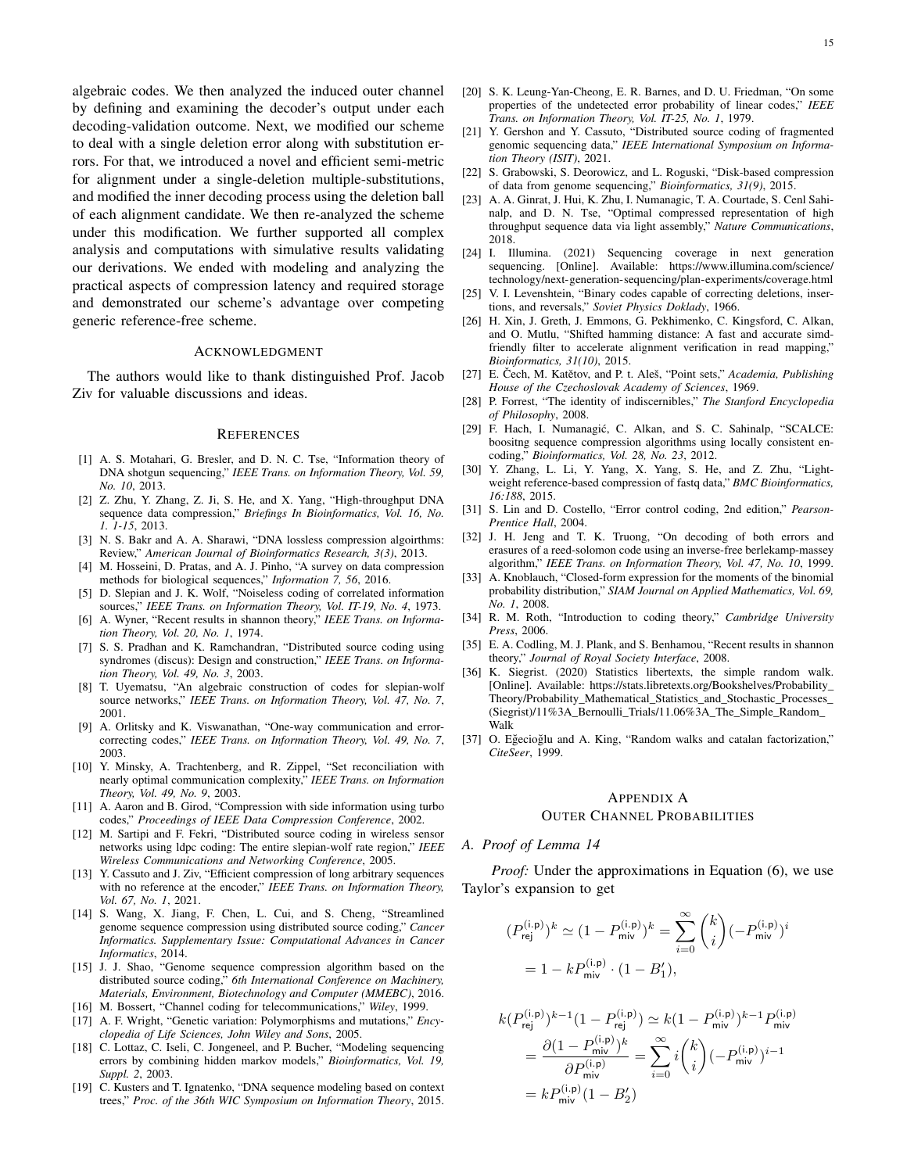algebraic codes. We then analyzed the induced outer channel by defining and examining the decoder's output under each decoding-validation outcome. Next, we modified our scheme to deal with a single deletion error along with substitution errors. For that, we introduced a novel and efficient semi-metric for alignment under a single-deletion multiple-substitutions, and modified the inner decoding process using the deletion ball of each alignment candidate. We then re-analyzed the scheme under this modification. We further supported all complex analysis and computations with simulative results validating our derivations. We ended with modeling and analyzing the practical aspects of compression latency and required storage and demonstrated our scheme's advantage over competing generic reference-free scheme.

# ACKNOWLEDGMENT

The authors would like to thank distinguished Prof. Jacob Ziv for valuable discussions and ideas.

#### **REFERENCES**

- [1] A. S. Motahari, G. Bresler, and D. N. C. Tse, "Information theory of DNA shotgun sequencing," *IEEE Trans. on Information Theory, Vol. 59, No. 10*, 2013.
- [2] Z. Zhu, Y. Zhang, Z. Ji, S. He, and X. Yang, "High-throughput DNA sequence data compression," *Briefings In Bioinformatics, Vol. 16, No. 1. 1-15*, 2013.
- [3] N. S. Bakr and A. A. Sharawi, "DNA lossless compression algoirthms: Review," *American Journal of Bioinformatics Research, 3(3)*, 2013.
- [4] M. Hosseini, D. Pratas, and A. J. Pinho, "A survey on data compression methods for biological sequences," *Information 7, 56*, 2016.
- [5] D. Slepian and J. K. Wolf, "Noiseless coding of correlated information sources," *IEEE Trans. on Information Theory, Vol. IT-19, No. 4*, 1973.
- [6] A. Wyner, "Recent results in shannon theory," *IEEE Trans. on Information Theory, Vol. 20, No. 1*, 1974.
- [7] S. S. Pradhan and K. Ramchandran, "Distributed source coding using syndromes (discus): Design and construction," *IEEE Trans. on Information Theory, Vol. 49, No. 3*, 2003.
- [8] T. Uyematsu, "An algebraic construction of codes for slepian-wolf source networks," *IEEE Trans. on Information Theory, Vol. 47, No. 7*, 2001.
- [9] A. Orlitsky and K. Viswanathan, "One-way communication and errorcorrecting codes," *IEEE Trans. on Information Theory, Vol. 49, No. 7*, 2003.
- [10] Y. Minsky, A. Trachtenberg, and R. Zippel, "Set reconciliation with nearly optimal communication complexity," *IEEE Trans. on Information Theory, Vol. 49, No. 9*, 2003.
- [11] A. Aaron and B. Girod, "Compression with side information using turbo codes," *Proceedings of IEEE Data Compression Conference*, 2002.
- [12] M. Sartipi and F. Fekri, "Distributed source coding in wireless sensor networks using ldpc coding: The entire slepian-wolf rate region," *IEEE Wireless Communications and Networking Conference*, 2005.
- [13] Y. Cassuto and J. Ziv, "Efficient compression of long arbitrary sequences with no reference at the encoder," *IEEE Trans. on Information Theory, Vol. 67, No. 1*, 2021.
- [14] S. Wang, X. Jiang, F. Chen, L. Cui, and S. Cheng, "Streamlined genome sequence compression using distributed source coding," *Cancer Informatics. Supplementary Issue: Computational Advances in Cancer Informatics*, 2014.
- [15] J. J. Shao, "Genome sequence compression algorithm based on the distributed source coding," *6th International Conference on Machinery, Materials, Environment, Biotechnology and Computer (MMEBC)*, 2016.
- [16] M. Bossert, "Channel coding for telecommunications," *Wiley*, 1999. [17] A. F. Wright, "Genetic variation: Polymorphisms and mutations," *Encyclopedia of Life Sciences, John Wiley and Sons*, 2005.
- [18] C. Lottaz, C. Iseli, C. Jongeneel, and P. Bucher, "Modeling sequencing errors by combining hidden markov models," *Bioinformatics, Vol. 19, Suppl. 2*, 2003.
- [19] C. Kusters and T. Ignatenko, "DNA sequence modeling based on context trees," *Proc. of the 36th WIC Symposium on Information Theory*, 2015.
- [20] S. K. Leung-Yan-Cheong, E. R. Barnes, and D. U. Friedman, "On some properties of the undetected error probability of linear codes," *IEEE Trans. on Information Theory, Vol. IT-25, No. 1*, 1979.
- [21] Y. Gershon and Y. Cassuto, "Distributed source coding of fragmented genomic sequencing data," *IEEE International Symposium on Information Theory (ISIT)*, 2021.
- [22] S. Grabowski, S. Deorowicz, and L. Roguski, "Disk-based compression of data from genome sequencing," *Bioinformatics, 31(9)*, 2015.
- [23] A. A. Ginrat, J. Hui, K. Zhu, I. Numanagic, T. A. Courtade, S. Cenl Sahinalp, and D. N. Tse, "Optimal compressed representation of high throughput sequence data via light assembly," *Nature Communications*, 2018.
- [24] I. Illumina. (2021) Sequencing coverage in next generation sequencing. [Online]. Available: https://www.illumina.com/science/ technology/next-generation-sequencing/plan-experiments/coverage.html
- [25] V. I. Levenshtein, "Binary codes capable of correcting deletions, insertions, and reversals," *Soviet Physics Doklady*, 1966.
- [26] H. Xin, J. Greth, J. Emmons, G. Pekhimenko, C. Kingsford, C. Alkan, and O. Mutlu, "Shifted hamming distance: A fast and accurate simdfriendly filter to accelerate alignment verification in read mapping," *Bioinformatics, 31(10)*, 2015.
- [27] E. Čech, M. Katětov, and P. t. Aleš, "Point sets," Academia, Publishing *House of the Czechoslovak Academy of Sciences*, 1969.
- [28] P. Forrest, "The identity of indiscernibles," *The Stanford Encyclopedia of Philosophy*, 2008.
- [29] F. Hach, I. Numanagić, C. Alkan, and S. C. Sahinalp, "SCALCE: boositng sequence compression algorithms using locally consistent encoding," *Bioinformatics, Vol. 28, No. 23*, 2012.
- [30] Y. Zhang, L. Li, Y. Yang, X. Yang, S. He, and Z. Zhu, "Lightweight reference-based compression of fastq data," *BMC Bioinformatics, 16:188*, 2015.
- [31] S. Lin and D. Costello, "Error control coding, 2nd edition," *Pearson-Prentice Hall*, 2004.
- [32] J. H. Jeng and T. K. Truong, "On decoding of both errors and erasures of a reed-solomon code using an inverse-free berlekamp-massey algorithm," *IEEE Trans. on Information Theory, Vol. 47, No. 10*, 1999.
- [33] A. Knoblauch, "Closed-form expression for the moments of the binomial probability distribution," *SIAM Journal on Applied Mathematics, Vol. 69, No. 1*, 2008.
- [34] R. M. Roth, "Introduction to coding theory," *Cambridge University Press*, 2006.
- [35] E. A. Codling, M. J. Plank, and S. Benhamou, "Recent results in shannon theory," *Journal of Royal Society Interface*, 2008.
- [36] K. Siegrist. (2020) Statistics libertexts, the simple random walk. [Online]. Available: https://stats.libretexts.org/Bookshelves/Probability\_ Theory/Probability\_Mathematical\_Statistics\_and\_Stochastic\_Processes\_ (Siegrist)/11%3A\_Bernoulli\_Trials/11.06%3A\_The\_Simple\_Random\_ Walk
- [37] O. Eğecioğlu and A. King, "Random walks and catalan factorization," *CiteSeer*, 1999.

# APPENDIX A OUTER CHANNEL PROBABILITIES

## *A. Proof of Lemma 14*

*Proof:* Under the approximations in Equation (6), we use Taylor's expansion to get

$$
\begin{split} (P_{\text{rej}}^{(\text{i.p})})^k &\simeq (1-P_{\text{miv}}^{(\text{i.p})})^k = \sum_{i=0}^{\infty} \binom{k}{i} (-P_{\text{miv}}^{(\text{i.p})})^i \\ & = 1-k P_{\text{miv}}^{(\text{i.p})} \cdot (1-B_1'), \end{split}
$$

$$
k(P_{\text{rej}}^{(i,p)})^{k-1}(1 - P_{\text{rej}}^{(i,p)}) \simeq k(1 - P_{\text{mix}}^{(i,p)})^{k-1} P_{\text{mix}}^{(i,p)}
$$
  
= 
$$
\frac{\partial (1 - P_{\text{mix}}^{(i,p)})^k}{\partial P_{\text{mix}}^{(i,p)}} = \sum_{i=0}^{\infty} i \binom{k}{i} (-P_{\text{mix}}^{(i,p)})^{i-1}
$$
  
= 
$$
k P_{\text{mix}}^{(i,p)}(1 - B_2')
$$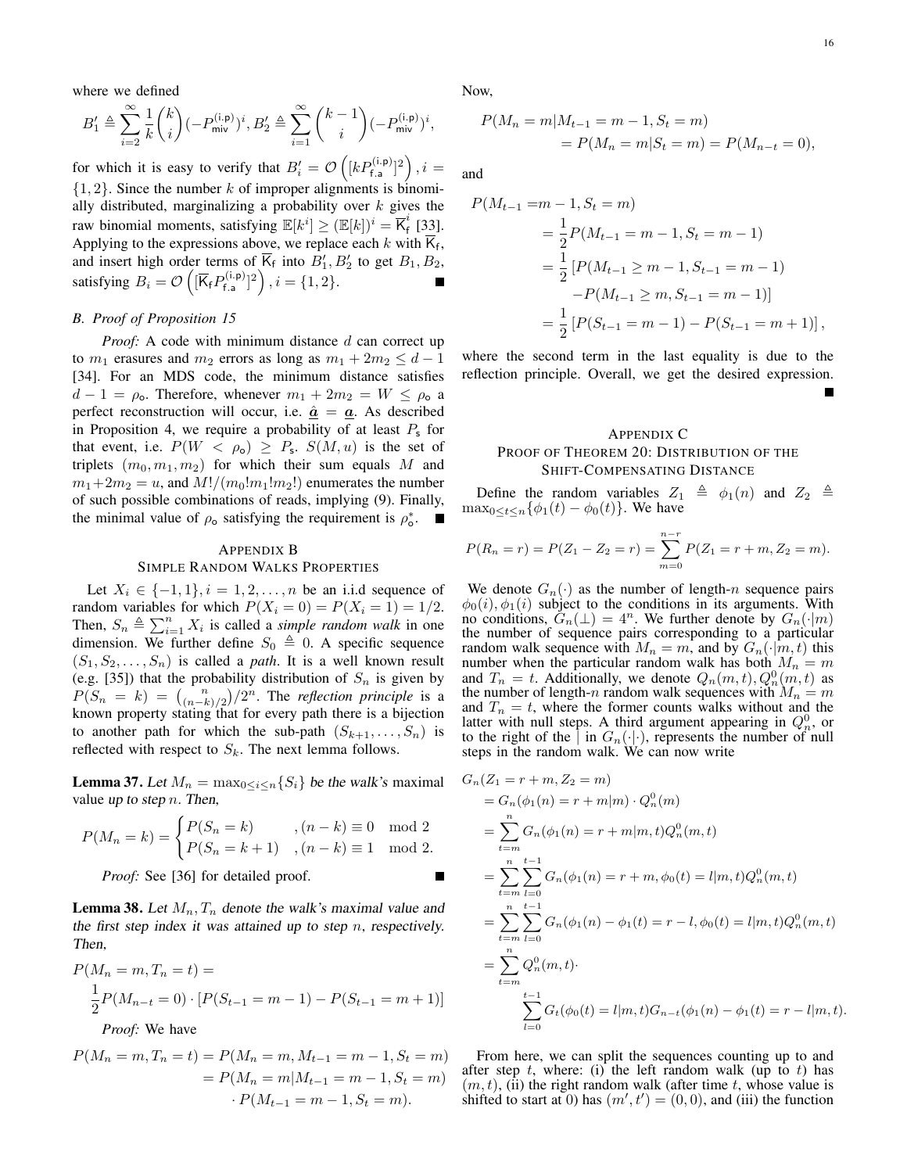where we defined

$$
B'_1\triangleq \sum_{i=2}^\infty \frac{1}{k}\binom{k}{i}(-P_\text{miv}^{(\text{i.p})})^i,B'_2\triangleq \sum_{i=1}^\infty \binom{k-1}{i}(-P_\text{miv}^{(\text{i.p})})^i,
$$

for which it is easy to verify that  $B_i' = \mathcal{O}\left([kP_{\text{f.a}}^{(i,p)}]^2\right), i =$  $\{1, 2\}$ . Since the number k of improper alignments is binomially distributed, marginalizing a probability over  $k$  gives the raw binomial moments, satisfying  $\mathbb{E}[k^i] \geq (\mathbb{E}[k])^i = \overline{K}_f^i$  $_{f}^{^{\circ}}$  [33]. Applying to the expressions above, we replace each  $k$  with  $\mathsf{K}_{\mathsf{f}}$ , and insert high order terms of  $\overline{K}_f$  into  $B'_1, B'_2$  to get  $B_1, B_2$ , satisfying  $B_i = \mathcal{O}\left(\sqrt{K_f} P_{f,a}^{(i,p)}\right)$  $\mathbf{f}_{\mathsf{fa}}^{(\mathsf{i},\mathsf{p})}]^2$  ,  $i=\{1,2\}.$ 

### *B. Proof of Proposition 15*

*Proof:* A code with minimum distance d can correct up to  $m_1$  erasures and  $m_2$  errors as long as  $m_1 + 2m_2 \leq d - 1$ [34]. For an MDS code, the minimum distance satisfies  $d-1 = \rho_{o}$ . Therefore, whenever  $m_1 + 2m_2 = W \le \rho_{o}$  a perfect reconstruction will occur, i.e.  $\hat{a} = \underline{a}$ . As described in Proposition 4, we require a probability of at least  $P_s$  for that event, i.e.  $P(W < \rho_0) \geq P_s$ .  $S(M, u)$  is the set of triplets  $(m_0, m_1, m_2)$  for which their sum equals M and  $m_1+2m_2 = u$ , and  $M!/(m_0!m_1!m_2!)$  enumerates the number of such possible combinations of reads, implying (9). Finally, the minimal value of  $\rho_0$  satisfying the requirement is  $\rho_0^*$ .

#### APPENDIX B

## SIMPLE RANDOM WALKS PROPERTIES

Let  $X_i \in \{-1, 1\}, i = 1, 2, \ldots, n$  be an i.i.d sequence of random variables for which  $P(X_i = 0) = P(X_i = 1) = 1/2$ . Then,  $S_n \triangleq \sum_{i=1}^n X_i$  is called a *simple random walk* in one dimension. We further define  $S_0 \triangleq 0$ . A specific sequence  $(S_1, S_2, \ldots, S_n)$  is called a *path*. It is a well known result (e.g. [35]) that the probability distribution of  $S_n$  is given by  $P(S_n = k) = {n \choose (n-k)/2} / 2^n$ . The *reflection principle* is a known property stating that for every path there is a bijection to another path for which the sub-path  $(S_{k+1}, \ldots, S_n)$  is reflected with respect to  $S_k$ . The next lemma follows.

**Lemma 37.** Let  $M_n = \max_{0 \le i \le n} \{S_i\}$  be the walk's maximal value up to step  $n$ . Then,

$$
P(M_n = k) = \begin{cases} P(S_n = k) & , (n-k) \equiv 0 \mod 2\\ P(S_n = k+1) & , (n-k) \equiv 1 \mod 2. \end{cases}
$$

*Proof:* See [36] for detailed proof.

**Lemma 38.** Let  $M_n$ ,  $T_n$  denote the walk's maximal value and the first step index it was attained up to step n, respectively. Then,

$$
P(M_n = m, T_n = t) =
$$
  
\n
$$
\frac{1}{2}P(M_{n-t} = 0) \cdot [P(S_{t-1} = m-1) - P(S_{t-1} = m+1)]
$$
  
\n*Proof:* We have

$$
P(M_n = m, T_n = t) = P(M_n = m, M_{t-1} = m - 1, S_t = m)
$$
  
=  $P(M_n = m | M_{t-1} = m - 1, S_t = m)$   
 $\cdot P(M_{t-1} = m - 1, S_t = m).$ 

Now,

$$
P(M_n = m | M_{t-1} = m - 1, S_t = m)
$$
  
=  $P(M_n = m | S_t = m) = P(M_{n-t} = 0),$ 

and

$$
P(M_{t-1} = m - 1, S_t = m)
$$
  
=  $\frac{1}{2} P(M_{t-1} = m - 1, S_t = m - 1)$   
=  $\frac{1}{2} [P(M_{t-1} \ge m - 1, S_{t-1} = m - 1)$   
-  $P(M_{t-1} \ge m, S_{t-1} = m - 1)]$   
=  $\frac{1}{2} [P(S_{t-1} = m - 1) - P(S_{t-1} = m + 1)],$ 

where the second term in the last equality is due to the reflection principle. Overall, we get the desired expression.

# APPENDIX C PROOF OF THEOREM 20: DISTRIBUTION OF THE SHIFT-COMPENSATING DISTANCE

Define the random variables  $Z_1 \triangleq \phi_1(n)$  and  $Z_2 \triangleq$  $\max_{0 \le t \le n} {\{\phi_1(t) - \phi_0(t)\}}$ . We have

$$
P(R_n = r) = P(Z_1 - Z_2 = r) = \sum_{m=0}^{n-r} P(Z_1 = r + m, Z_2 = m).
$$

We denote  $G_n(\cdot)$  as the number of length-n sequence pairs  $\phi_0(i), \phi_1(i)$  subject to the conditions in its arguments. With no conditions,  $\tilde{G}_n(\perp) = 4^n$ . We further denote by  $G_n(\cdot|m)$ the number of sequence pairs corresponding to a particular random walk sequence with  $M_n = m$ , and by  $G_n(\cdot|m, t)$  this number when the particular random walk has both  $M_n = m$ and  $T_n = t$ . Additionally, we denote  $Q_n(m, t), Q_n^0(m, t)$  as the number of length-n random walk sequences with  $M_n = m$ and  $T_n = t$ , where the former counts walks without and the latter with null steps. A third argument appearing in  $Q_n^0$ , or to the right of the  $|\text{in } G_n(\cdot|\cdot)$ , represents the number of null steps in the random walk. We can now write

$$
G_n(Z_1 = r + m, Z_2 = m)
$$
  
=  $G_n(\phi_1(n) = r + m|m) \cdot Q_n^0(m)$   
=  $\sum_{t=m}^n G_n(\phi_1(n) = r + m|m, t)Q_n^0(m, t)$   
=  $\sum_{t=m}^n \sum_{l=0}^{t-1} G_n(\phi_1(n) = r + m, \phi_0(t) = l|m, t)Q_n^0(m, t)$   
=  $\sum_{t=m}^n \sum_{l=0}^{t-1} G_n(\phi_1(n) - \phi_1(t) = r - l, \phi_0(t) = l|m, t)Q_n^0(m, t)$   
=  $\sum_{t=m}^n Q_n^0(m, t)$ .  
 $\sum_{l=0}^{t-1} G_t(\phi_0(t) = l|m, t)G_{n-t}(\phi_1(n) - \phi_1(t) = r - l|m, t).$ 

From here, we can split the sequences counting up to and after step t, where: (i) the left random walk (up to t) has  $(m, t)$ , (ii) the right random walk (after time t, whose value is shifted to start at 0) has  $(m', t') = (0, 0)$ , and (iii) the function